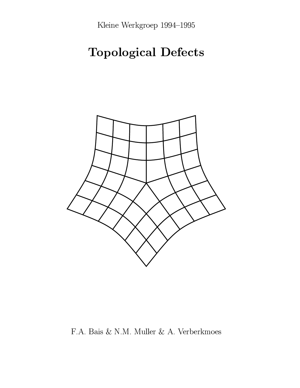Kleine Werkgroep 1994-1995

# **Topological Defects**



F.A. Bais & N.M. Muller & A. Verberkmoes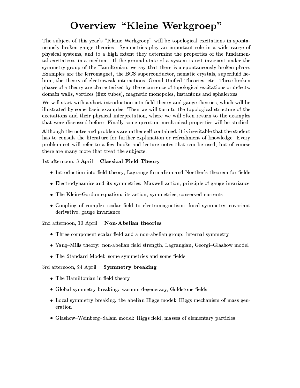# Overview "Kleine Werkgroep"

The subject of this year's "Kleine Werkgroep" will be topological excitations in spontaneously broken gauge theories. Symmetries play an important role in a wide range of physical systems, and to a high extent they determine the properties of the fundamental excitations in a medium. If the ground state of a system is not invariant under the symmetry group of the Hamiltonian, we say that there is a spontaneously broken phase. Examples are the ferromagnet, the BCS superconductor, nematic crystals, superfluid helium, the theory of electroweak interactions, Grand Unified Theories, etc. These broken phases of a theory are characterised by the occurrence of topological excitations or defects: domain walls, vortices (flux tubes), magnetic monopoles, instantons and sphalerons.

We will start with a short introduction into field theory and gauge theories, which will be illustrated by some basic examples. Then we will turn to the topological structure of the excitations and their physical interpretation, where we will often return to the examples that were discussed before. Finally some quantum mechanical properties will be studied.

Although the notes and problems are rather self-contained, it is inevitable that the student has to consult the literature for further explanation or refreshment of knowledge. Every problem set will refer to a few books and lecture notes that can be used, but of course there are many more that treat the subjects.

1st afternoon, 3 April **Classical Field Theory** 

- Introduction into field theory, Lagrange formalism and Noether's theorem for fields
- Electrodynamics and its symmetries: Maxwell action, principle of gauge invariance
- The Klein-Gordon equation: its action, symmetries, conserved currents
- Coupling of complex scalar field to electromagnetism: local symmetry, covariant derivative, gauge invariance

2nd afternoon, 10 April Non-Abelian theories

- Three-component scalar field and a non-abelian group: internal symmetry
- Yang-Mills theory: non-abelian field strength, Lagrangian, Georgi-Glashow model
- The Standard Model: some symmetries and some fields

#### 3rd afternoon, 24 April **Symmetry breaking**

- The Hamiltonian in field theory
- Global symmetry breaking: vacuum degeneracy, Goldstone fields
- Local symmetry breaking, the abelian Higgs model: Higgs mechanism of mass generation
- Glashow-Weinberg-Salam model: Higgs field, masses of elementary particles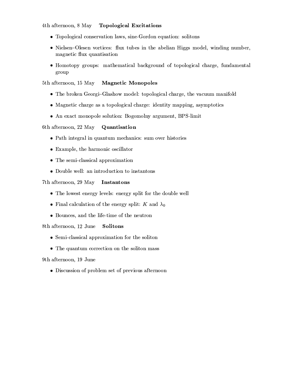4th afternoon, 8 May **Topological Excitations** 

- Topological conservation laws, sine-Gordon equation: solitons
- Nielsen-Olesen vortices: flux tubes in the abelian Higgs model, winding number, magnetic flux quantisation
- Homotopy groups: mathematical background of topological charge, fundamental group

5th afternoon, 15 May **Magnetic Monopoles** 

- The broken Georgi-Glashow model: topological charge, the vacuum manifold
- Magnetic charge as a topological charge: identity mapping, asymptotics
- An exact monopole solution: Bogomolny argument, BPS-limit

6th afternoon, 22 May Quantisation

- Path integral in quantum mechanics: sum over histories
- Example, the harmonic oscillator
- The semi-classical approximation
- Double well: an introduction to instantons

# 7th afternoon, 29 May Instantons

- The lowest energy levels: energy split for the double well
- Final calculation of the energy split: K and  $\lambda_0$
- Bounces, and the life-time of the neutron

8th afternoon, 12 June Solitons

- Semi-classical approximation for the soliton
- The quantum correction on the soliton mass

9th afternoon, 19 June

• Discussion of problem set of previous afternoon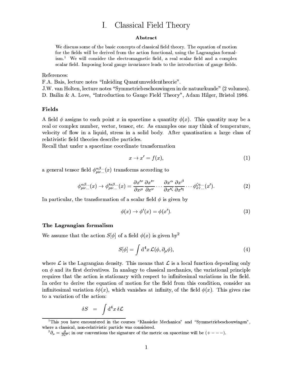#### Classical Field Theory  $\mathbf{I}$ .

## Abstract

We discuss some of the basic concepts of classical field theory. The equation of motion for the fields will be derived from the action functional, using the Lagrangian formal- $\mathrm{ism}$ . We will consider the electromagnetic field, a real scalar field and a complex scalar field. Imposing local gauge invariance leads to the introduction of gauge fields.

References:

F.A. Bais, lecture notes "Inleiding Quantumveldentheorie".

J.W. van Holten, lecture notes "Symmetriebeschouwingen in de natuurkunde" (2 volumes). D. Bailin & A. Love, "Introduction to Gauge Field Theory", Adam Hilger, Bristol 1986.

### Fields

A field  $\phi$  assigns to each point x in spacetime a quantity  $\phi(x)$ . This quantity may be a real or complex number, vector, tensor, etc. As examples one may think of temperature, velocity of flow in a liquid, stress in a solid body. After quantisation a large class of relativistic field theories describe particles.

Recall that under a spacetime coordinate transformation

$$
x \to x' = f(x), \tag{1}
$$

a general tensor field  $\phi_{\mu\nu...}^{\alpha\beta...}(x)$  transforms according to

$$
\phi_{\mu\nu...}^{\alpha\beta...}(x) \to \phi_{\mu\nu...}^{\prime\alpha\beta...}(x) = \frac{\partial x^{\prime\sigma}}{\partial x^{\mu}} \frac{\partial x^{\prime\tau}}{\partial x^{\nu}} \cdots \frac{\partial x^{\alpha}}{\partial x^{\prime\zeta}} \frac{\partial x^{\beta}}{\partial x^{\prime\eta}} \cdots \phi_{\sigma\tau...}^{\zeta\eta...}(x^{\prime}). \tag{2}
$$

In particular, the transformation of a scalar field  $\phi$  is given by

$$
\phi(x) \to \phi'(x) = \phi(x'). \tag{3}
$$

### The Lagrangian formalism

We assume that the action  $S[\phi]$  of a field  $\phi(x)$  is given by<sup>2</sup>

$$
S[\phi] = \int d^4x \, \mathcal{L}(\phi, \partial_\mu \phi), \tag{4}
$$

where  $\mathcal L$  is the Lagrangian density. This means that  $\mathcal L$  is a local function depending only on  $\phi$  and its first derivatives. In analogy to classical mechanics, the variational principle requires that the action is stationary with respect to infinitesimal variations in the field. In order to derive the equation of motion for the field from this condition, consider an infinitesimal variation  $\delta\phi(x)$ , which vanishes at infinity, of the field  $\phi(x)$ . This gives rise to a variation of the action:

$$
\delta S = \int d^4x \, \delta \mathcal{L}
$$

<sup>&</sup>lt;sup>1</sup>This you have encountered in the courses "Klassieke Mechanica" and "Symmetriebeschouwingen", where a classical, non-relativistic particle was considered.

 ${}^{2}\partial_{\mu} = \frac{\partial}{\partial x^{\mu}}$ ; in our conventions the signature of the metric on spacetime will be  $(+ - - -)$ .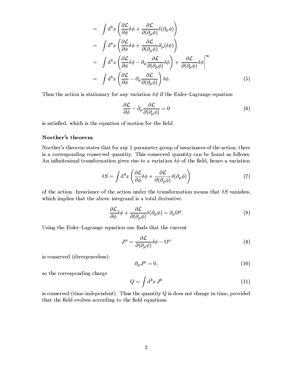$$
= \int d^4x \left( \frac{\partial \mathcal{L}}{\partial \phi} \delta \phi + \frac{\partial \mathcal{L}}{\partial (\partial_{\mu} \phi)} \delta (\partial_{\mu} \phi) \right)
$$
  
\n
$$
= \int d^4x \left( \frac{\partial \mathcal{L}}{\partial \phi} \delta \phi + \frac{\partial \mathcal{L}}{\partial (\partial_{\mu} \phi)} \partial_{\mu} (\delta \phi) \right)
$$
  
\n
$$
= \int d^4x \left( \frac{\partial \mathcal{L}}{\partial \phi} \delta \phi - \partial_{\mu} \frac{\partial \mathcal{L}}{\partial (\partial_{\mu} \phi)} \delta \phi \right) + \frac{\partial \mathcal{L}}{\partial (\partial_{\mu} \phi)} \delta \phi \right|^{\infty}
$$
  
\n
$$
= \int d^4x \left( \frac{\partial \mathcal{L}}{\partial \phi} - \partial_{\mu} \frac{\partial \mathcal{L}}{\partial (\partial_{\mu} \phi)} \right) \delta \phi.
$$
 (5)

Thus the action is stationary for any variation  $\delta\phi$  if the Euler-Lagrange equation

$$
\frac{\partial \mathcal{L}}{\partial \phi} - \partial_{\mu} \frac{\partial \mathcal{L}}{\partial (\partial_{\mu} \phi)} = 0
$$
\n(6)

is satisfied, which is the equation of motion for the field.

# Noether's theorem

Noether's theorem states that for any 1-parameter group of invariances of the action, there is a corresponding conserved quantity. This conserved quantity can be found as follows. An infinitesimal transformation gives rise to a variation  $\delta\phi$  of the field, hence a variation

$$
\delta S = \int d^4x \left( \frac{\partial \mathcal{L}}{\partial \phi} \delta \phi + \frac{\partial \mathcal{L}}{\partial (\partial_{\mu} \phi)} \delta (\partial_{\mu} \phi) \right) \tag{7}
$$

of the action. Invariance of the action under the transformation means that  $\delta S$  vanishes, which implies that the above integrand is a total derivative:

$$
\frac{\partial \mathcal{L}}{\partial \phi} \delta \phi + \frac{\partial \mathcal{L}}{\partial (\partial_{\mu} \phi)} \delta (\partial_{\mu} \phi) = \partial_{\mu} \Omega^{\mu}.
$$
 (8)

Using the Euler-Lagrange equation one finds that the current

$$
J^{\mu} = \frac{\partial \mathcal{L}}{\partial(\partial_{\mu}\phi)}\delta\phi - \Omega^{\mu}
$$
\n(9)

is conserved (divergenceless):

$$
\partial_{\mu}J^{\mu} = 0,\tag{10}
$$

so the corresponding charge

$$
Q = \int \mathrm{d}^3 x \, J^0 \tag{11}
$$

is conserved (time-independent). Thus the quantity  $Q$  is does not change in time, provided that the field evolves according to the field equations.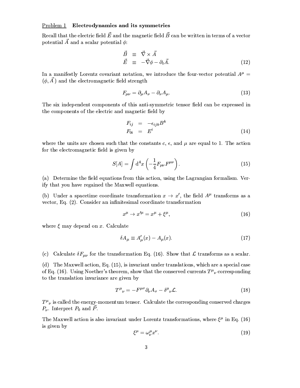# **Problem 1** Electrodynamics and its symmetries

Recall that the electric field  $\vec{E}$  and the magnetic field  $\vec{B}$  can be written in terms of a vector potential  $\vec{A}$  and a scalar potential  $\phi$ :

$$
\begin{array}{rcl}\n\vec{B} & \equiv & \vec{\nabla} \times \vec{A} \\
\vec{E} & \equiv & -\vec{\nabla}\phi - \partial_t \vec{A}.\n\end{array} \tag{12}
$$

In a manifestly Lorentz covariant notation, we introduce the four-vector potential  $A^{\mu}$  =  $(\phi, \vec{A})$  and the electromagnetic field strength

$$
F_{\mu\nu} = \partial_{\mu}A_{\nu} - \partial_{\nu}A_{\mu}.
$$
\n(13)

The six independent components of this anti-symmetric tensor field can be expressed in the components of the electric and magnetic field by

$$
F_{ij} = -\epsilon_{ijk} B^k
$$
  
\n
$$
F_{0i} = E^i
$$
\n(14)

where the units are chosen such that the constants c,  $\epsilon$ , and  $\mu$  are equal to 1. The action for the electromagnetic field is given by

$$
S[A] = \int d^4x \left( -\frac{1}{4} F_{\mu\nu} F^{\mu\nu} \right). \tag{15}
$$

(a) Determine the field equations from this action, using the Lagrangian formalism. Verify that you have regained the Maxwell equations.

(b) Under a spacetime coordinate transformation  $x \to x'$ , the field  $A^{\mu}$  transforms as a vector, Eq. (2). Consider an infinitesimal coordinate transformation

$$
x^{\mu} \to x^{\prime \mu} = x^{\mu} + \xi^{\mu}, \tag{16}
$$

where  $\xi$  may depend on x. Calculate

$$
\delta A_{\mu} \equiv A'_{\mu}(x) - A_{\mu}(x). \tag{17}
$$

(c) Calculate  $\delta F_{\mu\nu}$  for the transformation Eq. (16). Show that  $\mathcal L$  transforms as a scalar.

(d) The Maxwell action, Eq. (15), is invariant under translations, which are a special case of Eq. (16). Using Noether's theorem, show that the conserved currents  $T^{\mu}{}_{\nu}$  corresponding to the translation invariance are given by

$$
T^{\mu}{}_{\nu} = -F^{\mu\sigma}\partial_{\nu}A_{\sigma} - \delta^{\mu}{}_{\nu}\mathcal{L}.\tag{18}
$$

 $T^{\mu}{}_{\nu}$  is called the energy-momentum tensor. Calculate the corresponding conserved charges  $P_{\nu}$ . Interpret  $P_0$  and  $\dot{P}$ .

The Maxwell action is also invariant under Lorentz transformations, where  $\xi^{\mu}$  in Eq. (16) is given by

$$
\xi^{\mu} = \omega^{\mu}_{\nu} x^{\nu}.
$$
\n(19)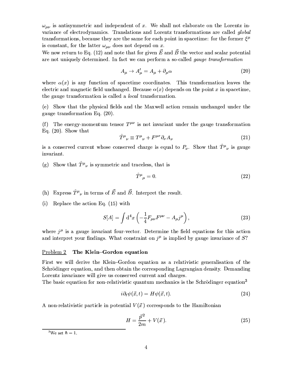$\omega_{\mu\nu}$  is antisymmetric and independent of x. We shall not elaborate on the Lorentz invariance of electrodynamics. Translations and Lorentz transformations are called global transformations, because they are the same for each point in spacetime: for the former  $\xi^{\mu}$ is constant, for the latter  $\omega_{\mu\nu}$  does not depend on x.

We now return to Eq. (12) and note that for given  $\vec{E}$  and  $\vec{B}$  the vector and scalar potential are not uniquely determined. In fact we can perform a so-called gauge transformation

$$
A_{\mu} \to A'_{\mu} = A_{\mu} + \partial_{\mu} \alpha \tag{20}
$$

where  $\alpha(x)$  is any function of spacetime coordinates. This transformation leaves the electric and magnetic field unchanged. Because  $\alpha(x)$  depends on the point x in spacetime, the gauge transformation is called a *local* transformation.

(e) Show that the physical fields and the Maxwell action remain unchanged under the gauge transformation Eq.  $(20)$ .

(f) The energy-momentum tensor  $T^{\mu\nu}$  is not invariant under the gauge transformation Eq.  $(20)$ . Show that

$$
\hat{T}^{\mu}{}_{\nu} \equiv T^{\mu}{}_{\nu} + F^{\mu\sigma} \partial_{\sigma} A_{\nu} \tag{21}
$$

is a conserved current whose conserved charge is equal to  $P_{\nu}$ . Show that  $\hat{T}^{\mu}{}_{\nu}$  is gauge invariant.

(g) Show that  $\hat{T}^{\mu}{}_{\nu}$  is symmetric and traceless, that is

$$
\hat{T}^{\mu}{}_{\mu} = 0. \tag{22}
$$

- (h) Express  $\hat{T}^{\mu}{}_{\nu}$  in terms of  $\vec{E}$  and  $\vec{B}$ . Interpret the result.
- (i) Replace the action Eq.  $(15)$  with

$$
S[A] = \int d^4x \left( -\frac{1}{4} F_{\mu\nu} F^{\mu\nu} - A_{\mu} j^{\mu} \right), \qquad (23)
$$

where  $j^{\mu}$  is a gauge invariant four-vector. Determine the field equations for this action and interpret your findings. What constraint on  $i^{\mu}$  is implied by gauge invariance of S?

#### Problem 2 The Klein-Gordon equation

First we will derive the Klein-Gordon equation as a relativistic generalisation of the Schrödinger equation, and then obtain the corresponding Lagrangian density. Demanding Lorentz invariance will give us conserved current and charges.

The basic equation for non-relativistic quantum mechanics is the Schrödinger equation<sup>3</sup>

$$
i\partial_t \psi(\vec{x}, t) = H\psi(\vec{x}, t). \tag{24}
$$

A non-relativistic particle in potential  $V(\vec{x})$  corresponds to the Hamiltonian

$$
H = \frac{\vec{p}^2}{2m} + V(\vec{x}).
$$
\n(25)

<sup>&</sup>lt;sup>3</sup>We set  $\hbar = 1$ .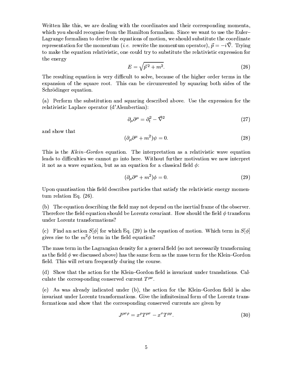Written like this, we are dealing with the coordinates and their corresponding momenta, which you should recognise from the Hamilton formalism. Since we want to use the Euler-Lagrange formalism to derive the equations of motion, we should substitute the coordinate representation for the momentum (*i.e.* rewrite the momentum operator),  $\vec{p} = -i\vec{\nabla}$ . Trying to make the equation relativistic, one could try to substitute the relativistic expression for the energy

$$
E = \sqrt{\vec{p}^2 + m^2}.\tag{26}
$$

The resulting equation is very difficult to solve, because of the higher order terms in the expansion of the square root. This can be circumvented by squaring both sides of the Schrödinger equation.

(a) Perform the substitution and squaring described above. Use the expression for the relativistic Laplace operator (d'Alembertian):

$$
\partial_{\mu}\partial^{\mu} = \partial_t^2 - \vec{\nabla}^2 \tag{27}
$$

and show that

$$
(\partial_{\mu}\partial^{\mu} + m^2)\psi = 0. \tag{28}
$$

This is the Klein-Gordon equation. The interpretation as a relativistic wave equation leads to difficulties we cannot go into here. Without further motivation we now interpret it not as a wave equation, but as an equation for a classical field  $\phi$ :

$$
(\partial_{\mu}\partial^{\mu} + m^2)\phi = 0. \tag{29}
$$

Upon quantisation this field describes particles that satisfy the relativistic energy momentum relation Eq.  $(26)$ .

(b) The equation describing the field may not depend on the inertial frame of the observer. Therefore the field equation should be Lorentz covariant. How should the field  $\phi$  transform under Lorentz transformations?

(c) Find an action  $S[\phi]$  for which Eq. (29) is the equation of motion. Which term in  $S[\phi]$ gives rise to the  $m^2\phi$  term in the field equation?

The mass term in the Lagrangian density for a general field (so not necessarily transforming as the field  $\phi$  we discussed above) has the same form as the mass term for the Klein-Gordon field. This will return frequently during the course.

(d) Show that the action for the Klein-Gordon field is invariant under translations. Calculate the corresponding conserved current  $T^{\mu\nu}$ .

(e) As was already indicated under (b), the action for the Klein–Gordon field is also invariant under Lorentz transformations. Give the infinitesimal form of the Lorentz transformations and show that the corresponding conserved currents are given by

$$
J^{\mu\sigma\rho} = x^{\rho}T^{\mu\sigma} - x^{\sigma}T^{\mu\rho}.
$$
\n(30)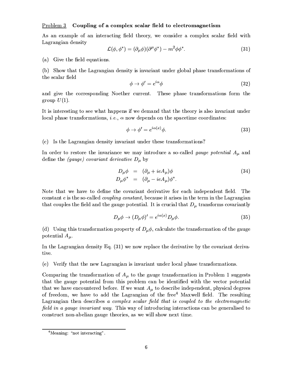### $P_{\text{roblem 3}}$  Coupling of a complex scalar field to electromagnetism

As an example of an interacting field theory, we consider a complex scalar field with Lagrangian density

$$
\mathcal{L}(\phi, \phi^*) = (\partial_\mu \phi)(\partial^\mu \phi^*) - m^2 \phi \phi^*.
$$
\n(31)

(a) Give the field equations.

(b) Show that the Lagrangian density is invariant under global phase transformations of the scalar field

$$
\phi \to \phi' = e^{i\alpha}\phi \tag{32}
$$

and give the corresponding Noether current. These phase transformations form the group  $U(1)$ .

It is interesting to see what happens if we demand that the theory is also invariant under local phase transformations, *i.e.*,  $\alpha$  now depends on the spacetime coordinates:

$$
\phi \to \phi' = e^{i\alpha(x)}\phi. \tag{33}
$$

(c) Is the Lagrangian density invariant under these transformations?

In order to restore the invariance we may introduce a so-called *gauge potential*  $A_{\mu}$  and define the (gauge) covariant derivative  $D_{\mu}$  by

$$
D_{\mu}\phi = (\partial_{\mu} + ieA_{\mu})\phi
$$
  
\n
$$
D_{\mu}\phi^* = (\partial_{\mu} - ieA_{\mu})\phi^*.
$$
\n(34)

Note that we have to define the covariant derivative for each independent field. The constant  $e$  is the so-called *coupling constant*, because it arises in the term in the Lagrangian that couples the field and the gauge potential. It is crucial that  $D_{\mu}$  transforms covariantly

$$
D_{\mu}\phi \to (D_{\mu}\phi)' = e^{i\alpha(x)} D_{\mu}\phi. \tag{35}
$$

(d) Using this transformation property of  $D_{\mu}\phi$ , calculate the transformation of the gauge potential  $A_\mu$ .

In the Lagrangian density Eq.  $(31)$  we now replace the derivative by the covariant derivative.

(e) Verify that the new Lagrangian is invariant under local phase transformations.

Comparing the transformation of  $A_\mu$  to the gauge transformation in Problem 1 suggests that the gauge potential from this problem can be identified with the vector potential that we have encountered before. If we want  $A_\mu$  to describe independent, physical degrees of freedom, we have to add the Lagrangian of the free<sup>4</sup> Maxwell field. The resulting Lagrangian then describes a complex scalar field that is coupled to the electromagnetic field in a gauge invariant way. This way of introducing interactions can be generalised to construct non-abelian gauge theories, as we will show next time.

<sup>&</sup>lt;sup>4</sup>Meaning: "not interacting".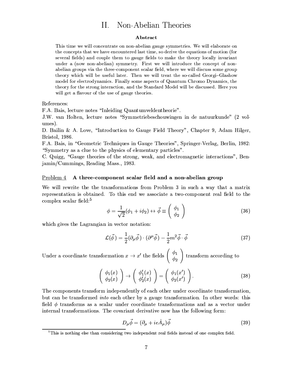#### Non-Abelian Theories  $\prod$ .

#### Abstract

This time we will concentrate on non-abelian gauge symmetries. We will elaborate on the concepts that we have encountered last time, so derive the equations of motion (for several fields) and couple them to gauge fields to make the theory locally invariant under a (now non-abelian) symmetry. First we will introduce the concept of nonabelian groups via the three-component scalar field, where we will discuss some group theory which will be useful later. Then we will treat the so-called Georgi-Glashow model for electrodynamics. Finally some aspects of Quantum Chromo Dynamics, the theory for the strong interaction, and the Standard Model will be discussed. Here you will get a flavour of the use of gauge theories.

References:

F.A. Bais, lecture notes "Inleiding Quantumveldentheorie".

J.W. van Holten, lecture notes "Symmetriebeschouwingen in de natuurkunde" (2 volumes).

D. Bailin & A. Love, "Introduction to Gauge Field Theory", Chapter 9, Adam Hilger, Bristol, 1986.

F.A. Bais, in "Geometric Techniques in Gauge Theories", Springer-Verlag, Berlin, 1982: "Symmetry as a clue to the physics of elementary particles".

C. Quigg, "Gauge theories of the strong, weak, and electromagnetic interactions", Benjamin/Cummings, Reading Mass., 1983.

## Problem 4 A three-component scalar field and a non-abelian group

We will rewrite the the transformations from Problem 3 in such a way that a matrix representation is obtained. To this end we associate a two-component real field to the complex scalar field:<sup>5</sup>

$$
\phi = \frac{1}{\sqrt{2}}(\phi_1 + i\phi_2) \leftrightarrow \vec{\phi} \equiv \begin{pmatrix} \phi_1 \\ \phi_2 \end{pmatrix}
$$
 (36)

which gives the Lagrangian in vector notation:

$$
\mathcal{L}(\vec{\phi}) = \frac{1}{2} (\partial_{\mu}\vec{\phi}) \cdot (\partial^{\mu}\vec{\phi}) - \frac{1}{2} m^2 \vec{\phi} \cdot \vec{\phi}
$$
 (37)

Under a coordinate transformation  $x \to x'$  the fields  $\begin{pmatrix} \phi_1 \\ \phi_2 \end{pmatrix}$  transform according to

$$
\left(\begin{array}{c}\n\phi_1(x) \\
\phi_2(x)\n\end{array}\right) \rightarrow \left(\begin{array}{c}\n\phi'_1(x) \\
\phi'_2(x)\n\end{array}\right) = \left(\begin{array}{c}\n\phi_1(x') \\
\phi_2(x')\n\end{array}\right).
$$
\n(38)

The components transform independently of each other under coordinate transformation, but can be transformed *into* each other by a gauge transformation. In other words: this field  $\phi$  transforms as a scalar under coordinate transformations and as a vector under internal transformations. The covariant derivative now has the following form:

$$
D_{\mu}\vec{\phi} = (\partial_{\mu} + ie\hat{A}_{\mu})\vec{\phi}
$$
 (39)

 ${}^{5}$ This is nothing else than considering two independent real fields instead of one complex field.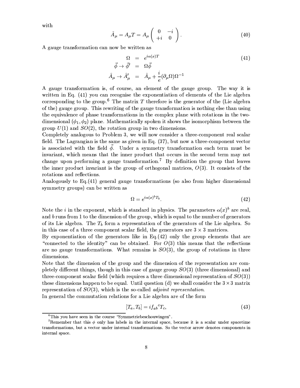with

$$
\hat{A}_{\mu} = A_{\mu}T = A_{\mu} \begin{pmatrix} 0 & -i \\ +i & 0 \end{pmatrix}.
$$
 (40)

A gauge transformation can now be written as

$$
\Omega = e^{i\alpha(x)T}
$$
\n
$$
\vec{\phi} \to \vec{\phi}' = \Omega \vec{\phi}
$$
\n
$$
\hat{A}_{\mu} \to \hat{A}'_{\mu} = \hat{A}_{\mu} + \frac{i}{e} (\partial_{\mu} \Omega) \Omega^{-1}
$$
\n(41)

A gauge transformation is, of course, an element of the gauge group. The way it is written in Eq. (41) you can recognise the exponentiation of elements of the Lie algebra corresponding to the group.<sup>6</sup> The matrix T therefore is the generator of the (Lie algebra of the) gauge group. This rewriting of the gauge transformation is nothing else than using the equivalence of phase transformations in the complex plane with rotations in the twodimensional  $(\phi_1, \phi_2)$  plane. Mathematically spoken it shows the isomorphism between the group  $U(1)$  and  $SO(2)$ , the rotation group in two dimensions.

Completely analogous to Problem 3, we will now consider a three-component real scalar field. The Lagrangian is the same as given in Eq. (37), but now a three-component vector is associated with the field  $\phi$ . Under a symmetry transformation each term must be invariant, which means that the inner product that occurs in the second term may not change upon performing a gauge transformation.<sup>7</sup> By definition the group that leaves the inner product invariant is the group of orthogonal matrices,  $O(3)$ . It consists of the rotations and reflections.

Analogously to Eq. (41) general gauge transformations (so also from higher dimensional symmetry groups) can be written as

$$
\Omega = e^{i\alpha(x)^b T_b}.\tag{42}
$$

Note the *i* in the exponent, which is standard in physics. The parameters  $\alpha(x)^b$  are real, and  $b$  runs from 1 to the dimension of the group, which is equal to the number of generators of its Lie algebra. The  $T_b$  form a representation of the generators of the Lie algebra. So in this case of a three component scalar field, the generators are  $3 \times 3$  matrices.

By exponentiation of the generators like in Eq.  $(42)$  only the group elements that are "connected to the identity" can be obtained. For  $O(3)$  this means that the reflections are no gauge transformations. What remains is  $SO(3)$ , the group of rotations in three dimensions.

Note that the dimension of the group and the dimension of the representation are completely different things, though in this case of gauge group  $SO(3)$  (three dimensional) and three-component scalar field (which requires a three dimensional representation of  $SO(3)$ ) these dimensions happen to be equal. Until question (d) we shall consider the  $3 \times 3$  matrix representation of  $SO(3)$ , which is the so-called *adjoint representation*.

In general the commutation relations for a Lie algebra are of the form

$$
[T_a, T_b] = i f_{ab}{}^c T_c,\tag{43}
$$

 ${}^6$ This you have seen in the course "Symmetriebeschouwingen".

<sup>&</sup>lt;sup>7</sup>Remember that this  $\phi$  only has labels in the internal space, because it is a scalar under spacetime transformations, but a vector under internal transformations. So the vector arrow denotes components in internal space.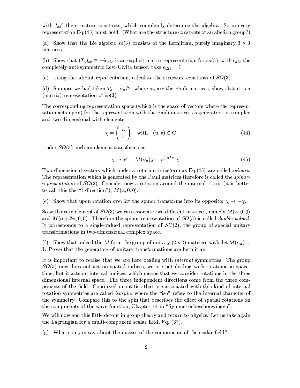with  $f_{ab}^c$  the structure constants, which completely determine the algebra. So in every representation Eq.(43) must hold. (What are the structure constants of an abelian group?)

(a) Show that the Lie algebra  $so(3)$  consists of the hermitian, purely imaginary  $3 \times 3$ matrices.

(b) Show that  $(T_a)_{bc} \equiv -i\epsilon_{abc}$  is an explicit matrix representation for  $so(3)$ , with  $\epsilon_{abc}$  the completely anti-symmetric Levi-Civita tensor, take  $\epsilon_{123} = 1$ .

(c) Using the adjoint representation, calculate the structure constants of  $SO(3)$ .

(d) Suppose we had taken  $T_a \equiv \sigma_a/2$ , where  $\sigma_a$  are the Pauli matrices, show that it is a (matrix) representation of  $so(3)$ .

The corresponding representation space (which is the space of vectors where the representation acts upon) for the representation with the Pauli matrices as generators, is complex and two-dimensional with elements

$$
\chi = \left(\begin{array}{c} u \\ v \end{array}\right) \quad \text{with} \quad (u, v) \in \mathbf{C}.\tag{44}
$$

Under  $SO(3)$  such an element transforms as

$$
\chi \to \chi' = M(\alpha_a)\chi = e^{\frac{s}{2}\alpha^a \sigma_a}\chi. \tag{45}
$$

Two-dimensional vectors which under a rotation transform as Eq. (45) are called *spinors*. The representation which is generated by the Pauli matrices therefore is called the *spinor*representation of  $SO(3)$ . Consider now a rotation around the internal x-axis (it is better to call this the "1-direction"),  $M(\alpha,0,0)$ .

(e) Show that upon rotation over  $2\pi$  the spinor transforms into its opposite:  $\chi \to -\chi$ .

So with every element of  $SO(3)$  we can associate two different matrices, namely  $M(\alpha,0,0)$ and  $M(\alpha+2\pi,0,0)$ . Therefore the spinor representation of  $SO(3)$  is called *double-valued.* It corresponds to a single-valued representation of  $SU(2)$ , the group of special unitary transformations in two-dimensional complex space.

(f) Show that indeed the M form the group of unitary  $(2 \times 2)$  matrices with det  $M(\alpha_a)$  = 1. Prove that the generators of unitary transformations are hermitian.

It is important to realise that we are here dealing with *internal* symmetries. The group  $SO(3)$  now does not act on spatial indices, we are not dealing with rotations in spacetime, but it acts on internal indices, which means that we consider rotations in the three dimensional internal space. The three independent directions come from the three components of the field. Conserved quantities that are associated with this kind of internal rotation symmetries are called *isospin*, where the "iso" refers to the internal character of the symmetry. Compare this to the spin that describes the effect of spatial rotations on the components of the wave function, Chapter 14 in "Symmetriebeschouwingen".

We will now end this little detour in group theory and return to physics. Let us take again the Lagrangian for a multi-component scalar field, Eq. (37).

 $(g)$  What can you say about the masses of the components of the scalar field?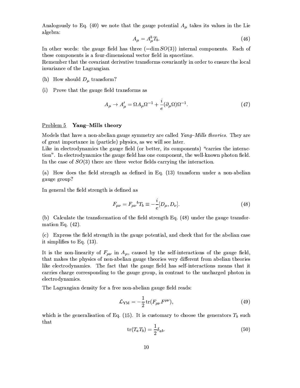Analogously to Eq. (40) we note that the gauge potential  $A_{\mu}$  takes its values in the Lie algebra:

$$
A_{\mu} = A_{\mu}^{b} T_{b}.\tag{46}
$$

In other words: the gauge field has three  $(=\dim SO(3))$  internal components. Each of these components is a four-dimensional vector field in spacetime.

Remember that the covariant derivative transforms covariantly in order to ensure the local invariance of the Lagrangian.

- (h) How should  $D_{\mu}$  transform?
- (i) Prove that the gauge field transforms as

$$
A_{\mu} \to A'_{\mu} = \Omega A_{\mu} \Omega^{-1} + \frac{i}{e} (\partial_{\mu} \Omega) \Omega^{-1}.
$$
 (47)

#### Problem 5 Yang-Mills theory

Models that have a non-abelian gauge symmetry are called Yang-Mills theories. They are of great importance in (particle) physics, as we will see later.

Like in electrodynamics the gauge field (or better, its components) "carries the interaction". In electrodynamics the gauge field has one component, the well-known photon field. In the case of  $SO(3)$  there are three vector fields carrying the interaction.

(a) How does the field strength as defined in Eq. (13) transform under a non-abelian gauge group?

In general the field strength is defined as

$$
F_{\mu\nu} = F_{\mu\nu}{}^{b} T_{b} \equiv -\frac{i}{e} [D_{\mu}, D_{\nu}].
$$
\n(48)

(b) Calculate the transformation of the field strength Eq. (48) under the gauge transformation Eq.  $(42)$ .

(c) Express the field strength in the gauge potential, and check that for the abelian case it simplifies to Eq.  $(13)$ .

It is the non-linearity of  $F_{\mu\nu}$  in  $A_{\mu}$ , caused by the self-interactions of the gauge field, that makes the physics of non-abelian gauge theories very different from abelian theories like electrodynamics. The fact that the gauge field has self-interactions means that it carries charge corresponding to the gauge group, in contrast to the uncharged photon in electrodynamics.

The Lagrangian density for a free non-abelian gauge field reads:

$$
\mathcal{L}_{\text{YM}} = -\frac{1}{2} \operatorname{tr} (F_{\mu\nu} F^{\mu\nu}), \qquad (49)
$$

which is the generalisation of Eq. (15). It is customary to choose the generators  $T_b$  such that

$$
\operatorname{tr}(T_a T_b) = \frac{1}{2} \delta_{ab}.\tag{50}
$$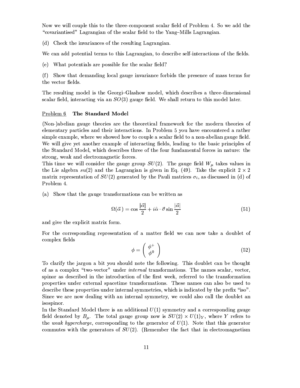Now we will couple this to the three-component scalar field of Problem 4. So we add the "covariantised" Lagrangian of the scalar field to the Yang-Mills Lagrangian.

(d) Check the invariances of the resulting Lagrangian.

We can add potential terms to this Lagrangian, to describe self-interactions of the fields.

(e) What potentials are possible for the scalar field?

(f) Show that demanding local gauge invariance forbids the presence of mass terms for the vector fields.

The resulting model is the Georgi-Glashow model, which describes a three-dimensional scalar field, interacting via an  $SO(3)$  gauge field. We shall return to this model later.

#### Problem 6 The Standard Model

(Non-)abelian gauge theories are the theoretical framework for the modern theories of elementary particles and their interactions. In Problem 5 you have encountered a rather simple example, where we showed how to couple a scalar field to a non-abelian gauge field. We will give yet another example of interacting fields, leading to the basic principles of the Standard Model, which describes three of the four fundamental forces in nature: the strong, weak and electromagnetic forces.

This time we will consider the gauge group  $SU(2)$ . The gauge field  $W_{\mu}$  takes values in the Lie algebra  $su(2)$  and the Lagrangian is given in Eq. (49). Take the explicit  $2 \times 2$ matrix representation of  $SU(2)$  generated by the Pauli matrices  $\sigma_i$ , as discussed in (d) of Problem 4.

(a) Show that the gauge transformations can be written as

$$
\Omega(\vec{\alpha}) = \cos\frac{|\vec{\alpha}|}{2} + i\hat{\alpha} \cdot \vec{\sigma} \sin\frac{|\vec{\alpha}|}{2} \tag{51}
$$

and give the explicit matrix form.

For the corresponding representation of a matter field we can now take a doublet of complex fields

$$
\phi = \left(\begin{array}{c} \phi^+ \\ \phi^0 \end{array}\right) \tag{52}
$$

To clarify the jargon a bit you should note the following. This doublet can be thought of as a complex "two-vector" under *internal* transformations. The names scalar, vector, spinor as described in the introduction of the first week, referred to the transformation properties under external spacetime transformations. These names can also be used to describe these properties under internal symmetries, which is indicated by the prefix "iso". Since we are now dealing with an internal symmetry, we could also call the doublet an isospinor.

In the Standard Model there is an additional  $U(1)$  symmetry and a corresponding gauge field denoted by  $B_{\mu}$ . The total gauge group now is  $SU(2) \times U(1)_Y$ , where Y refers to the weak hypercharge, corresponding to the generator of  $U(1)$ . Note that this generator commutes with the generators of  $SU(2)$ . (Remember the fact that in electromagnetism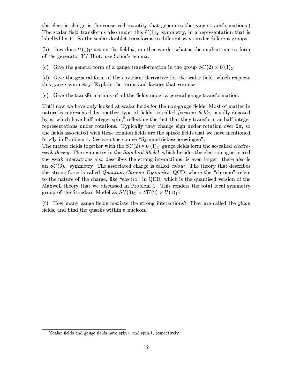the electric charge is the conserved quantity that generates the gauge transformations.) The scalar field transforms also under this  $U(1)_Y$  symmetry, in a representation that is labelled by  $Y$ . So the scalar doublet transforms in different ways under different groups.

(b) How does  $U(1)_Y$  act on the field  $\phi$ , in other words: what is the explicit matrix form of the generator Y? Hint: use Schur's lemma.

(c) Give the general form of a gauge transformation in the group  $SU(2) \times U(1)_Y$ .

(d) Give the general form of the covariant derivative for the scalar field, which respects this gauge symmetry. Explain the terms and factors that you use.

(e) Give the transformations of all the fields under a general gauge transformation.

Until now we have only looked at scalar fields for the non-gauge fields. Most of matter in nature is represented by another type of fields, so-called *fermion fields*, usually denoted by  $\psi$ , which have half-integer spin,<sup>8</sup> reflecting the fact that they transform as half-integer representations under rotations. Typically they change sign under rotation over  $2\pi$ , so the fields associated with these fermion fields are the spinor fields that we have mentioned briefly in Problem 4. See also the course "Symmetriebeschouwingen".

The matter fields together with the  $SU(2) \times U(1)_Y$  gauge fields form the so-called *electro*weak theory. The symmetry in the *Standard Model*, which besides the electromagnetic and the weak interactions also describes the strong interactions, is even larger: there also is an  $SU(3)_C$  symmetry. The associated charge is called *colour*. The theory that describes the strong force is called *Quantum Chromo Dynamics*, QCD, where the "chromo" refers to the nature of the charge, like "electro" in QED, which is the quantised version of the Maxwell theory that we discussed in Problem 1. This renders the total local symmetry group of the Standard Model as  $SU(3)_C \times SU(2) \times U(1)_Y$ .

(f) How many gauge fields mediate the strong interactions? They are called the *gluon* fields, and bind the quarks within a nucleon.

<sup>&</sup>lt;sup>8</sup>Scalar fields and gauge fields have spin 0 and spin 1, respectively.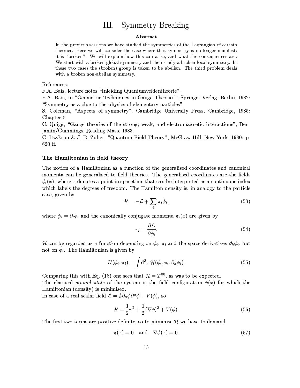#### **Symmetry Breaking**  $III.$

#### Abstract

In the previous sessions we have studied the symmetries of the Lagrangian of certain theories. Here we will consider the case where that symmetry is no longer manifest: it is "broken". We will explain how this can arise, and what the consequences are. We start with a broken global symmetry and then study a broken local symmetry. In these two cases the (broken) group is taken to be abelian. The third problem deals with a broken non-abelian symmetry.

### References:

F.A. Bais, lecture notes "Inleiding Quantumveldentheorie".

F.A. Bais, in "Geometric Techniques in Gauge Theories", Springer-Verlag, Berlin, 1982: "Symmetry as a clue to the physics of elementary particles".

S. Coleman, "Aspects of symmetry", Cambridge University Press, Cambridge, 1985: Chapter 5.

C. Quigg, "Gauge theories of the strong, weak, and electromagnetic interactions", Benjamin/Cummings, Reading Mass. 1983.

C. Itzykson & J.-B. Zuber, "Quantum Field Theory", McGraw-Hill, New York, 1980: p. 620 ff.

### The Hamiltonian in field theory

The notion of a Hamiltonian as a function of the generalised coordinates and canonical momenta can be generalised to field theories. The generalised coordinates are the fields  $\phi_i(x)$ , where x denotes a point in spacetime that can be interpreted as a continuous index which labels the degrees of freedom. The Hamilton density is, in analogy to the particle case, given by

$$
\mathcal{H} = -\mathcal{L} + \sum_{i} \pi_i \dot{\phi}_i,\tag{53}
$$

where  $\dot{\phi}_i = \partial_t \phi_i$  and the canonically conjugate momenta  $\pi_i(x)$  are given by

$$
\pi_i = \frac{\partial \mathcal{L}}{\partial \dot{\phi}_i}.\tag{54}
$$

H can be regarded as a function depending on  $\phi_i$ ,  $\pi_i$  and the space-derivatives  $\partial_k \phi_i$ , but not on  $\phi_i$ . The Hamiltonian is given by

$$
H(\phi_i, \pi_i) = \int d^3x \, \mathcal{H}(\phi_i, \pi_i, \partial_k \phi_i).
$$
 (55)

Comparing this with Eq. (18) one sees that  $\mathcal{H} = T^{00}$ , as was to be expected.

The classical ground state of the system is the field configuration  $\phi(x)$  for which the Hamiltonian (density) is minimised.

In case of a real scalar field  $\mathcal{L} = \frac{1}{2} \partial_{\mu} \phi \partial^{\mu} \phi - V(\phi)$ , so

$$
\mathcal{H} = \frac{1}{2}\pi^2 + \frac{1}{2}(\nabla\phi)^2 + V(\phi).
$$
 (56)

The first two terms are positive definite, so to minimise  $\mathcal{H}$  we have to demand

$$
\pi(x) = 0 \quad \text{and} \quad \nabla \phi(x) = 0. \tag{57}
$$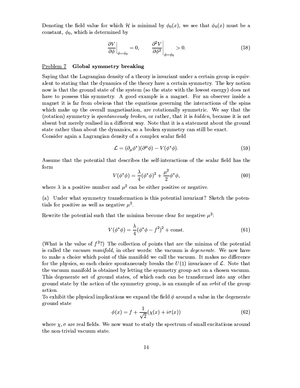Denoting the field value for which H is minimal by  $\phi_0(x)$ , we see that  $\phi_0(x)$  must be a constant,  $\phi_0$ , which is determined by

$$
\left. \frac{\partial V}{\partial \phi} \right|_{\phi = \phi_0} = 0, \qquad \left. \frac{\partial^2 V}{\partial \phi^2} \right|_{\phi = \phi_0} > 0. \tag{58}
$$

# Problem 7 Global symmetry breaking

Saying that the Lagrangian density of a theory is invariant under a certain group is equivalent to stating that the dynamics of the theory have a certain symmetry. The key notion now is that the ground state of the system (so the state with the lowest energy) does not have to possess this symmetry. A good example is a magnet. For an observer inside a magnet it is far from obvious that the equations governing the interactions of the spins which make up the overall magnetisation, are rotationally symmetric. We say that the (rotation) symmetry is *spontaneously broken*, or rather, that it is *hidden*, because it is not absent but merely realised in a different way. Note that it is a statement about the ground state rather than about the dynamics, so a broken symmetry can still be exact. Consider again a Lagrangian density of a complex scalar field

$$
\mathcal{L} = (\partial_{\mu} \phi^*) (\partial^{\mu} \phi) - V (\phi^* \phi). \tag{59}
$$

Assume that the potential that describes the self-interactions of the scalar field has the form

$$
V(\phi^*\phi) = \frac{\lambda}{4}(\phi^*\phi)^2 + \frac{\mu^2}{2}\phi^*\phi,
$$
\n(60)

where  $\lambda$  is a positive number and  $\mu^2$  can be either positive or negative.

(a) Under what symmetry transformation is this potential invariant? Sketch the potentials for positive as well as negative  $\mu^2$ .

Rewrite the potential such that the minima become clear for negative  $\mu^2$ .

$$
V(\phi^*\phi) = \frac{\lambda}{4}(\phi^*\phi - f^2)^2 + \text{const.}
$$
 (61)

(What is the value of  $f^{2}$ ?) The collection of points that are the minima of the potential is called the vacuum manifold, in other words: the vacuum is degenerate. We now have to make a choice which point of this manifold we call the vacuum. It makes no difference for the physics, so each choice spontaneously breaks the  $U(1)$  invariance of  $\mathcal{L}$ . Note that the vacuum manifold is obtained by letting the symmetry group act on a chosen vacuum. This degenerate set of ground states, of which each can be transformed into any other ground state by the action of the symmetry group, is an example of an *orbit* of the group action.

To exhibit the physical implications we expand the field  $\phi$  around a value in the degenerate ground state

$$
\phi(x) = f + \frac{1}{\sqrt{2}} (\chi(x) + i\sigma(x)) \tag{62}
$$

where  $\chi$ ,  $\sigma$  are real fields. We now want to study the spectrum of small excitations around the non-trivial vacuum state.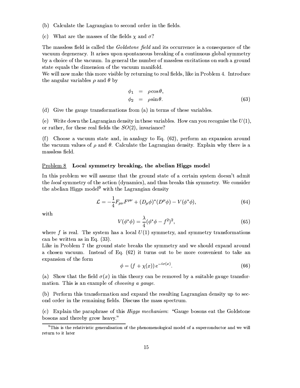- (b) Calculate the Lagrangian to second order in the fields.
- (c) What are the masses of the fields  $\chi$  and  $\sigma$ ?

The massless field is called the *Goldstone field* and its occurrence is a consequence of the vacuum degeneracy. It arises upon spontaneous breaking of a continuous global symmetry by a choice of the vacuum. In general the number of massless excitations on such a ground state equals the dimension of the vacuum manifold.

We will now make this more visible by returning to real fields, like in Problem 4. Introduce the angular variables  $\rho$  and  $\theta$  by

$$
\begin{array}{rcl}\n\phi_1 &=& \rho \cos \theta, \\
\phi_2 &=& \rho \sin \theta.\n\end{array} \n\tag{63}
$$

(d) Give the gauge transformations from (a) in terms of these variables.

(e) Write down the Lagrangian density in these variables. How can you recognise the  $U(1)$ , or rather, for these real fields the  $SO(2)$ , invariance?

(f) Choose a vacuum state and, in analogy to Eq.  $(62)$ , perform an expansion around the vacuum values of  $\rho$  and  $\theta$ . Calculate the Lagrangian density. Explain why there is a massless field.

# Problem 8 Local symmetry breaking, the abelian Higgs model

In this problem we will assume that the ground state of a certain system doesn't admit the local symmetry of the action (dynamics), and thus breaks this symmetry. We consider the abelian Higgs model<sup>9</sup> with the Lagrangian density

$$
\mathcal{L} = -\frac{1}{4} F_{\mu\nu} F^{\mu\nu} + (D_{\mu}\phi)^{*} (D^{\mu}\phi) - V(\phi^{*}\phi), \tag{64}
$$

with

$$
V(\phi^*\phi) = \frac{\lambda}{4}(\phi^*\phi - f^2)^2,
$$
\n(65)

where f is real. The system has a local  $U(1)$  symmetry, and symmetry transformations can be written as in Eq.  $(33)$ .

Like in Problem 7 the ground state breaks the symmetry and we should expand around a chosen vacuum. Instead of Eq.  $(62)$  it turns out to be more convenient to take an expansion of the form

$$
\phi = (f + \chi(x)) e^{-i\sigma(x)}.
$$
\n(66)

(a) Show that the field  $\sigma(x)$  in this theory can be removed by a suitable gauge transformation. This is an example of *choosing a gauge*.

(b) Perform this transformation and expand the resulting Lagrangian density up to second order in the remaining fields. Discuss the mass spectrum.

(c) Explain the paraphrase of this *Higgs mechanism*: "Gauge bosons eat the Goldstone bosons and thereby grow heavy."

<sup>&</sup>lt;sup>9</sup>This is the relativistic generalisation of the phenomenological model of a superconductor and we will return to it later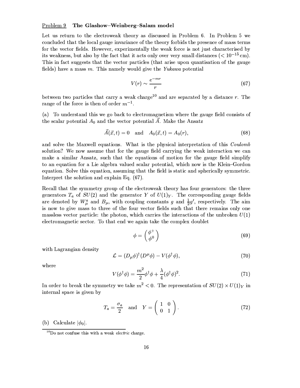## Problem 9 The Glashow-Weinberg-Salam model

Let us return to the electroweak theory as discussed in Problem 6. In Problem 5 we concluded that the local gauge invariance of the theory forbids the presence of mass terms for the vector fields. However, experimentally the weak force is not just characterised by its weakness, but also by the fact that it acts only over very small distances  $(< 10^{-15}$  cm). This in fact suggests that the vector particles (that arise upon quantisation of the gauge fields) have a mass  $m$ . This namely would give the Yukawa potential

$$
V(r) \sim \frac{e^{-mr}}{r} \tag{67}
$$

between two particles that carry a weak charge<sup>10</sup> and are separated by a distance  $r$ . The range of the force is then of order  $m^{-1}$ .

(a) To understand this we go back to electromagnetism where the gauge field consists of the scalar potential  $A_0$  and the vector potential  $\vec{A}$ . Make the Ansatz

$$
\vec{A}(\vec{x},t) = 0 \quad \text{and} \quad A_0(\vec{x},t) = A_0(r), \tag{68}
$$

and solve the Maxwell equations. What is the physical interpretation of this Coulomb solution? We now assume that for the gauge field carrying the weak interaction we can make a similar Ansatz, such that the equations of motion for the gauge field simplify to an equation for a Lie algebra valued scalar potential, which now is the Klein-Gordon equation. Solve this equation, assuming that the field is static and spherically symmetric. Interpret the solution and explain Eq. (67).

Recall that the symmetry group of the electroweak theory has four generators: the three generators  $T_a$  of  $SU(2)$  and the generator Y of  $U(1)_Y$ . The corresponding gauge fields are denoted by  $W^a_\mu$  and  $B_\mu$ , with coupling constants g and  $\frac{1}{2}g'$ , respectively. The aim is now to give mass to three of the four vector fields such that there remains only one massless vector particle: the photon, which carries the interactions of the unbroken  $U(1)$ electromagnetic sector. To that end we again take the complex doublet

$$
\phi = \begin{pmatrix} \phi^+ \\ \phi^0 \end{pmatrix} \tag{69}
$$

with Lagrangian density

$$
\mathcal{L} = (D_{\mu}\phi)^{\dagger}(D^{\mu}\phi) - V(\phi^{\dagger}\phi), \tag{70}
$$

where

$$
V(\phi^{\dagger}\phi) = \frac{m^2}{2}\phi^{\dagger}\phi + \frac{\lambda}{4}(\phi^{\dagger}\phi)^2.
$$
 (71)

In order to break the symmetry we take  $m^2 < 0$ . The representation of  $SU(2) \times U(1)_Y$  in internal space is given by

$$
T_a = \frac{\sigma_a}{2} \quad \text{and} \quad Y = \begin{pmatrix} 1 & 0 \\ 0 & 1 \end{pmatrix}.
$$
 (72)

(b) Calculate  $|\phi_0|$ .

 $10$ Do not confuse this with a weak *electric* charge.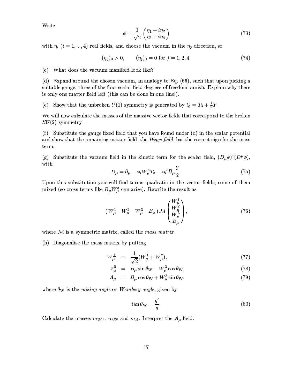Write

$$
\phi = \frac{1}{\sqrt{2}} \begin{pmatrix} \eta_1 + i\eta_2 \\ \eta_3 + i\eta_4 \end{pmatrix} \tag{73}
$$

with  $\eta_i$  (i = 1, ..., 4) real fields, and choose the vacuum in the  $\eta_3$  direction, so

$$
(\eta_3)_0 > 0, \qquad (\eta_j)_0 = 0 \text{ for } j = 1, 2, 4. \tag{74}
$$

### (c) What does the vacuum manifold look like?

(d) Expand around the chosen vacuum, in analogy to Eq. (66), such that upon picking a suitable gauge, three of the four scalar field degrees of freedom vanish. Explain why there is only one matter field left (this can be done in one line!).

(e) Show that the unbroken  $U(1)$  symmetry is generated by  $Q = T_3 + \frac{1}{2}Y$ .

We will now calculate the masses of the massive vector fields that correspond to the broken  $SU(2)$  symmetry.

(f) Substitute the gauge fixed field that you have found under (d) in the scalar potential and show that the remaining matter field, the Higgs field, has the correct sign for the mass term.

(g) Substitute the vacuum field in the kinetic term for the scalar field,  $(D_{\mu}\phi)^{\dagger}(D^{\mu}\phi)$ , with

$$
D_{\mu} = \partial_{\mu} - igW_{\mu}^{a}T_{a} - ig'B_{\mu}\frac{Y}{2}.
$$
\n
$$
(75)
$$

Upon this substitution you will find terms quadratic in the vector fields, some of them mixed (so cross terms like  $B_{\mu}W_{\mu}^{a}$  can arise). Rewrite the result as

$$
(W^1_{\mu} \quad W^2_{\mu} \quad W^3_{\mu} \quad B_{\mu}) \mathcal{M} \begin{pmatrix} W^1_{\mu} \\ W^2_{\mu} \\ W^3_{\mu} \\ B_{\mu} \end{pmatrix}, \tag{76}
$$

where  $M$  is a symmetric matrix, called the mass matrix.

(h) Diagonalise the mass matrix by putting

$$
W^{\pm}_{\mu} = \frac{1}{\sqrt{2}} (W_{\mu}^{1} \mp W_{\mu}^{2}), \qquad (77)
$$

$$
Z_{\mu}^{0} = B_{\mu}\sin\theta_{\rm W} - W_{\mu}^{3}\cos\theta_{\rm W}, \qquad (78)
$$

$$
A_{\mu} = B_{\mu} \cos \theta_{\rm W} + W_{\mu}^{3} \sin \theta_{\rm W}, \tag{79}
$$

where  $\theta_{\rm W}$  is the mixing angle or Weinberg angle, given by

$$
\tan \theta_{\rm W} = \frac{g'}{g}.\tag{80}
$$

Calculate the masses  $m_{W^{\pm}}$ ,  $m_{Z^0}$  and  $m_A$ . Interpret the  $A_{\mu}$  field.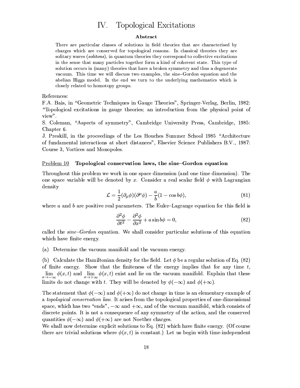# IV. Topological Excitations

#### Abstract

There are particular classes of solutions in field theories that are characterised by charges which are conserved for topological reasons. In classical theories they are solitary waves (solitons), in quantum theories they correspond to collective excitations in the sense that many particles together form a kind of coherent state. This type of solution occurs in (many) theories that have a broken symmetry and thus a degenerate vacuum. This time we will discuss two examples, the sine-Gordon equation and the abelian Higgs model. In the end we turn to the underlying mathematics which is closely related to homotopy groups.

References:

F.A. Bais, in "Geometric Techniques in Gauge Theories", Springer-Verlag, Berlin, 1982: "Topological excitations in gauge theories; an introduction from the physical point of view".

S. Coleman, "Aspects of symmetry", Cambridge University Press, Cambridge, 1985: Chapter 6.

J. Preskill, in the proceedings of the Les Houches Summer School 1985 "Architecture of fundamental interactions at short distances", Elsevier Science Publishers B.V., 1987: Course 3, Vortices and Monopoles.

# Problem 10 Topological conservation laws, the sine-Gordon equation

Throughout this problem we work in one space dimension (and one time dimension). The one space variable will be denoted by x. Consider a real scalar field  $\phi$  with Lagrangian density

$$
\mathcal{L} = \frac{1}{2} (\partial_{\mu} \phi)(\partial^{\mu} \phi) - \frac{a}{b} (1 - \cos b\phi), \tag{81}
$$

where  $a$  and  $b$  are positive real parameters. The Euler-Lagrange equation for this field is

$$
\frac{\partial^2 \phi}{\partial t^2} - \frac{\partial^2 \phi}{\partial x^2} + a \sin b\phi = 0,
$$
\n(82)

called the sine-Gordon equation. We shall consider particular solutions of this equation which have finite energy.

(a) Determine the vacuum manifold and the vacuum energy.

(b) Calculate the Hamiltonian density for the field. Let  $\phi$  be a regular solution of Eq. (82) of finite energy. Show that the finiteness of the energy implies that for any time  $t$ ,  $\lim_{x \to a} \phi(x, t)$  and  $\lim_{x \to a} \phi(x, t)$  exist and lie on the vacuum manifold. Explain that these limits do not change with t. They will be denoted by  $\phi(-\infty)$  and  $\phi(+\infty)$ .

The statement that  $\phi(-\infty)$  and  $\phi(+\infty)$  do not change in time is an elementary example of a topological conservation law. It arises from the topological properties of one-dimensional space, which has two "ends",  $-\infty$  and  $+\infty$ , and of the vacuum manifold, which consists of discrete points. It is not a consequence of any symmetry of the action, and the conserved quantities  $\phi(-\infty)$  and  $\phi(+\infty)$  are not Noether charges.

We shall now determine explicit solutions to Eq. (82) which have finite energy. (Of course there are trivial solutions where  $\phi(x,t)$  is constant.) Let us begin with time-independent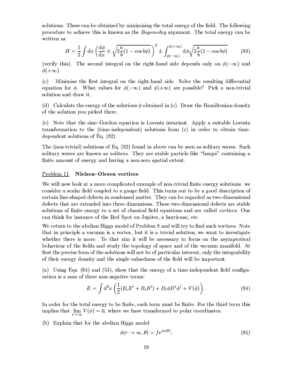solutions. These can be obtained by minimising the total energy of the field. The following procedure to achieve this is known as the Bogomolny argument. The total energy can be written as

$$
H = \frac{1}{2} \int \mathrm{d}x \left( \frac{\mathrm{d}\phi}{\mathrm{d}x} \mp \sqrt{2\frac{a}{b}(1 - \cos b\phi)} \right)^2 \pm \int_{\phi(-\infty)}^{\phi(+\infty)} \mathrm{d}\phi \sqrt{2\frac{a}{b}(1 - \cos b\phi)} \tag{83}
$$

(verify this). The second integral on the right-hand side depends only on  $\phi(-\infty)$  and  $\phi(+\infty)$ .

 $(c)$ Minimise the first integral on the right-hand side. Solve the resulting differential equation for  $\phi$ . What values for  $\phi(-\infty)$  and  $\phi(+\infty)$  are possible? Pick a non-trivial solution and draw it.

(d) Calculate the energy of the solutions  $\phi$  obtained in (c). Draw the Hamiltonian density of the solution you picked there.

(e) Note that the sine-Gordon equation is Lorentz invariant. Apply a suitable Lorentz transformation to the (time-independent) solutions from (c) in order to obtain timedependent solutions of Eq.  $(82)$ .

The (non-trivial) solutions of Eq. (82) found in above can be seen as solitary waves. Such solitary waves are known as *solitons*. They are stable particle-like "lumps" containing a finite amount of energy and having a non-zero spatial extent.

## Problem 11 Nielsen-Olesen vortices

We will now look at a more complicated example of non-trivial finite energy solutions: we consider a scalar field coupled to a gauge field. This turns out to be a good description of certain line-shaped defects in condensed matter. They can be regarded as two-dimensional defects that are extended into three dimensions. These two-dimensional defects are stable solutions of finite energy to a set of classical field equations and are called vortices. One can think for instance of the Red Spot on Jupiter, a hurricane, etc.

We return to the abelian Higgs model of Problem 8 and will try to find such vortices. Note that in principle a vacuum is a vortex, but it is a trivial solution; we want to investigate whether there is more. To that aim it will be necessary to focus on the asymptotical behaviour of the fields and study the topology of space and of the vacuum manifold. At first the precise form of the solutions will not be of particular interest, only the integrability of their energy density and the single-valuedness of the field will be important.

(a) Using Eqs.  $(64)$  and  $(53)$ , show that the energy of a time-independent field configuration is a sum of three non-negative terms:

$$
E = \int d^2x \left( \frac{1}{2} (E_i E^i + B_i B^i) + D_i \phi D^i \phi^\dagger + V(\phi) \right). \tag{84}
$$

وبرادي

In order for the total energy to be finite, each term must be finite. For the third term this implies that  $\lim V(\phi) = 0$ , where we have transformed to polar coordinates.

(b) Explain that for the abelian Higgs model

$$
\phi(r \to \infty, \theta) = f e^{i\alpha(\theta)},\tag{85}
$$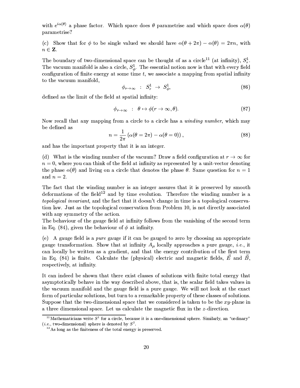with  $e^{i\alpha(\theta)}$  a phase factor. Which space does  $\theta$  parametrise and which space does  $\alpha(\theta)$ parametrise?

(c) Show that for  $\phi$  to be single valued we should have  $\alpha(\theta + 2\pi) - \alpha(\theta) = 2\pi n$ , with  $n \in \mathbf{Z}$ .

The boundary of two-dimensional space can be thought of as a circle<sup>11</sup> (at infinity),  $S_r^1$ . The vacuum manifold is also a circle,  $S^1_{\phi}$ . The essential notion now is that with every field configuration of finite energy at some time  $t$ , we associate a mapping from spatial infinity to the vacuum manifold,

$$
\phi_{r \to \infty} \quad : \quad S_r^1 \to \quad S_\phi^1,\tag{86}
$$

defined as the limit of the field at spatial infinity:

$$
\phi_{r \to \infty} : \theta \mapsto \phi(r \to \infty, \theta). \tag{87}
$$

Now recall that any mapping from a circle to a circle has a winding number, which may be defined as

$$
n = \frac{1}{2\pi} \left( \alpha(\theta = 2\pi) - \alpha(\theta = 0) \right),\tag{88}
$$

and has the important property that it is an integer.

(d) What is the winding number of the vacuum? Draw a field configuration at  $r \to \infty$  for  $n = 0$ , where you can think of the field at infinity as represented by a unit-vector denoting the phase  $\alpha(\theta)$  and living on a circle that denotes the phase  $\theta$ . Same question for  $n=1$ and  $n = 2$ .

The fact that the winding number is an integer assures that it is preserved by smooth deformations of the field<sup>12</sup> and by time evolution. Therefore the winding number is a topological invariant, and the fact that it doesn't change in time is a topological conservation law. Just as the topological conservation from Problem 10, is not directly associated with any symmetry of the action.

The behaviour of the gauge field at infinity follows from the vanishing of the second term in Eq. (84), given the behaviour of  $\phi$  at infinity.

(e) A gauge field is a *pure* gauge if it can be gauged to zero by choosing an appropriate gauge transformation. Show that at infinity  $A_\mu$  locally approaches a pure gauge, *i.e.*, it can locally be written as a gradient, and that the energy contribution of the first term in Eq. (84) is finite. Calculate the (physical) electric and magnetic fields,  $\vec{E}$  and  $\vec{B}$ , respectively, at infinity.

It can indeed be shown that there exist classes of solutions with finite total energy that asymptotically behave in the way described above, that is, the scalar field takes values in the vacuum manifold and the gauge field is a pure gauge. We will not look at the exact form of particular solutions, but turn to a remarkable property of these classes of solutions. Suppose that the two-dimensional space that we considered is taken to be the  $xy$ -plane in a three dimensional space. Let us calculate the magnetic flux in the z-direction.

<sup>&</sup>lt;sup>11</sup>Mathematicians write  $S^1$  for a circle, because it is a one-dimensional sphere. Similarly, an "ordinary" (*i.e.*, two-dimensional) sphere is denoted by  $S^2$ .

 $12A$ s long as the finiteness of the total energy is preserved.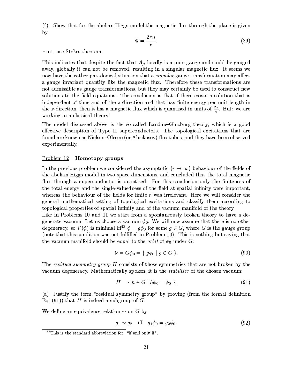(f) Show that for the abelian Higgs model the magnetic flux through the plane is given by

$$
\Phi = \frac{2\pi n}{e}.\tag{89}
$$

Hint: use Stokes theorem.

This indicates that despite the fact that  $A_\mu$  locally is a pure gauge and could be gauged away, globally it can not be removed, resulting in a singular magnetic flux. It seems we now have the rather paradoxical situation that a *singular* gauge transformation may affect a gauge invariant quantity like the magnetic flux. Therefore these transformations are not admissible as gauge transformations, but they may certainly be used to construct new solutions to the field equations. The conclusion is that if there exists a solution that is independent of time and of the z-direction and that has finite energy per unit length in the z-direction, then it has a magnetic flux which is quantised in units of  $\frac{2\pi}{e}$ . But: we are working in a classical theory!

The model discussed above is the so-called Landau–Ginzburg theory, which is a good effective description of Type II superconductors. The topological excitations that are found are known as Nielsen-Olesen (or Abrikosov) flux tubes, and they have been observed experimentally.

#### $Problem 12$ Homotopy groups

In the previous problem we considered the asymptotic  $(r \to \infty)$  behaviour of the fields of the abelian Higgs model in two space dimensions, and concluded that the total magnetic flux through a superconductor is quantised. For this conclusion only the finiteness of the total energy and the single-valuedness of the field at spatial infinity were important, whereas the behaviour of the fields for finite  $r$  was irrelevant. Here we will consider the general mathematical setting of topological excitations and classify them according to topological properties of spatial infinity and of the vacuum manifold of the theory.

Like in Problems 10 and 11 we start from a spontaneously broken theory to have a degenerate vacuum. Let us choose a vacuum  $\phi_0$ . We will now assume that there is no other degeneracy, so  $V(\phi)$  is minimal iff<sup>13</sup>  $\phi = g\phi_0$  for some  $g \in G$ , where G is the gauge group (note that this condition was not fulfilled in Problem 10). This is nothing but saying that the vacuum manifold should be equal to the *orbit* of  $\phi_0$  under G:

$$
\mathcal{V} = G\phi_0 = \{ g\phi_0 \mid g \in G \}.
$$
\n
$$
(90)
$$

The residual symmetry group H consists of those symmetries that are not broken by the vacuum degeneracy. Mathematically spoken, it is the *stabiliser* of the chosen vacuum:

$$
H = \{ h \in G \mid h\phi_0 = \phi_0 \}.
$$
\n(91)

(a) Justify the term "residual symmetry group" by proving (from the formal definition Eq. (91)) that H is indeed a subgroup of  $G$ .

We define an equivalence relation  $\sim$  on G by

$$
g_1 \sim g_2
$$
 iff  $g_1 \phi_0 = g_2 \phi_0$ . (92)

 $13$ This is the standard abbreviation for: "if and only if".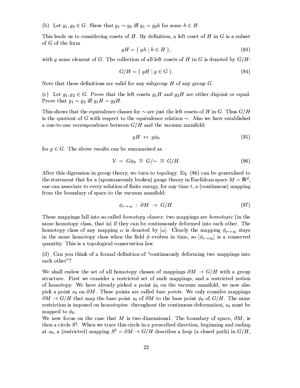(b) Let  $g_1, g_2 \in G$ . Show that  $g_1 \sim g_2$  iff  $g_1 = g_2 h$  for some  $h \in H$ .

This leads us to considering cosets of  $H$ . By definition, a left coset of  $H$  in  $G$  is a subset of  $G$  of the form

$$
gH = \{ gh \mid h \in H \},\tag{93}
$$

with q some element of G. The collection of all left cosets of H in G is denoted by  $G/H$ :

$$
G/H = \{ gH \mid g \in G \}.
$$
\n
$$
(94)
$$

Note that these definitions are valid for any subgroup  $H$  of any group  $G$ .

(c) Let  $g_1, g_2 \in G$ . Prove that the left cosets  $g_1H$  and  $g_2H$  are either disjoint or equal. Prove that  $g_1 \sim g_2$  iff  $g_1 H = g_2 H$ .

This shows that the equivalence classes for  $\sim$  are just the left cosets of H in G. Thus  $G/H$ is the quotient of G with respect to the equivalence relation  $\sim$ . Also we have established a one-to-one correspondence between  $G/H$  and the vacuum manifold:

$$
gH \leftrightarrow g\phi_0 \tag{95}
$$

for  $g \in G$ . The above results can be summarised as

$$
\mathcal{V} = G\phi_0 \cong G/\sim \cong G/H. \tag{96}
$$

After this digression in group theory, we turn to topology. Eq. (86) can be generalised to the statement that for a (spontaneously broken) gauge theory in Euclidean space  $M = \mathbb{R}^d$ , one can associate to every solution of finite energy, for any time  $t$ , a (continuous) mapping from the boundary of space to the vacuum manifold:

$$
\phi_{r \to \infty} : \partial M \to G/H. \tag{97}
$$

These mappings fall into so-called *homotopy classes*: two mappings are *homotopic* (in the same homotopy class, that is) if they can be continuously deformed into each other. The homotopy class of any mapping  $\alpha$  is denoted by  $[\alpha]$ . Clearly the mapping  $\phi_{r\to\infty}$  stays in the same homotopy class when the field  $\phi$  evolves in time, so  $[\phi_{r\to\infty}]$  is a conserved quantity. This is a topological conservation law.

(d) Can you think of a formal definition of "continuously deforming two mappings into each other"?

We shall endow the set of all homotopy classes of mappings  $\partial M \to G/H$  with a group structure. First we consider a restricted set of such mappings, and a restricted notion of homotopy. We have already picked a point  $\phi_0$  on the vacuum manifold, we now also pick a point  $s_0$  on  $\partial M$ . These points are called base points. We only consider mappings  $\partial M \to G/H$  that map the base point  $s_0$  of  $\partial M$  to the base point  $\phi_0$  of  $G/H$ . The same restriction is imposed on homotopies: throughout the continuous deformation,  $s_0$  must be mapped to  $\phi_0$ .

We now focus on the case that M is two-dimensional. The boundary of space,  $\partial M$ , is then a circle  $S^1$ . When we trace this circle in a prescribed direction, beginning and ending at  $s_0$ , a (restricted) mapping  $S^1 = \partial M \to G/H$  describes a loop (a closed path) in  $G/H$ ,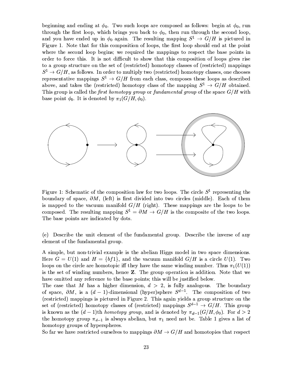beginning and ending at  $\phi_0$ . Two such loops are composed as follows: begin at  $\phi_0$ , run through the first loop, which brings you back to  $\phi_0$ , then run through the second loop, and you have ended up in  $\phi_0$  again. The resulting mapping  $S^1 \rightarrow G/H$  is pictured in Figure 1. Note that for this composition of loops, the first loop should end at the point where the second loop begins; we required the mappings to respect the base points in order to force this. It is not difficult to show that this composition of loops gives rise to a group structure on the set of (restricted) homotopy classes of (restricted) mappings  $S^1 \rightarrow G/H$ , as follows. In order to multiply two (restricted) homotopy classes, one chooses representative mappings  $S^1 \rightarrow G/H$  from each class, composes these loops as described above, and takes the (restricted) homotopy class of the mapping  $S^1 \rightarrow G/H$  obtained. This group is called the first homotopy group or fundamental group of the space  $G/H$  with base point  $\phi_0$ . It is denoted by  $\pi_1(G/H, \phi_0)$ .



Figure 1: Schematic of the composition law for two loops. The circle  $S^1$  representing the boundary of space,  $\partial M$ , (left) is first divided into two circles (middle). Each of them is mapped to the vacuum manifold  $G/H$  (right). These mappings are the loops to be composed. The resulting mapping  $S^1 = \partial M \rightarrow G/H$  is the composite of the two loops. The base points are indicated by dots.

(e) Describe the unit element of the fundamental group. Describe the inverse of any element of the fundamental group.

A simple, but non-trivial example is the abelian Higgs model in two space dimensions. Here  $G = U(1)$  and  $H = \{bf{b}f1\}$ , and the vacuum manifold  $G/H$  is a circle  $U(1)$ . Two loops on the circle are homotopic iff they have the same winding number. Thus  $\pi_1(U(1))$ is the set of winding numbers, hence Z. The group operation is addition. Note that we have omitted any reference to the base points; this will be justified below.

The case that M has a higher dimension,  $d > 2$ , is fully analogous. The boundary of space,  $\partial M$ , is a  $(d-1)$ -dimensional (hyper)sphere  $S^{d-1}$ . The composition of two (restricted) mappings is pictured in Figure 2. This again yields a group structure on the set of (restricted) homotopy classes of (restricted) mappings  $S^{d-1} \to G/H$ . This group is known as the  $(d-1)$ th *homotopy group*, and is denoted by  $\pi_{d-1}(G/H, \phi_0)$ . For  $d > 2$ the homotopy group  $\pi_{d-1}$  is always abelian, but  $\pi_1$  need not be. Table 1 gives a list of homotopy groups of hyperspheres.

So far we have restricted ourselves to mappings  $\partial M \to G/H$  and homotopies that respect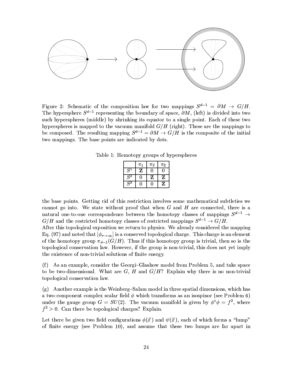

Figure 2: Schematic of the composition law for two mappings  $S^{d-1} = \partial M \rightarrow G/H$ . The hypersphere  $S^{d-1}$  representing the boundary of space,  $\partial M$ , (left) is divided into two such hyperspheres (middle) by shrinking its equator to a single point. Each of these two hyperspheres is mapped to the vacuum manifold  $G/H$  (right). These are the mappings to be composed. The resulting mapping  $S^{d-1} = \partial M \to G/H$  is the composite of the initial two mappings. The base points are indicated by dots.

Table 1: Homotopy groups of hyperspheres

|             | $\pi_1$ | $\pi_2$ | $\pi_3$ |
|-------------|---------|---------|---------|
| $S^1$       | z       |         |         |
| $\bar{S}^2$ |         | z       | z       |
| $S^3$       |         |         | z       |

the base points. Getting rid of this restriction involves some mathematical subtleties we cannot go into. We state without proof that when  $G$  and  $H$  are connected, there is a natural one-to-one correspondence between the homotopy classes of mappings  $S^{d-1} \rightarrow$  $G/H$  and the restricted homotopy classes of restricted mappings  $S^{d-1} \to G/H$ .

After this topological exposition we return to physics. We already considered the mapping Eq. (97) and noted that  $[\phi_{r\to\infty}]$  is a conserved topological charge. This charge is an element of the homotopy group  $\pi_{d-1}(G/H)$ . Thus if this homotopy group is trivial, then so is the topological conservation law. However, if the group is non-trivial, this does not yet imply the existence of non-trivial solutions of finite energy.

(f) As an example, consider the Georgi-Glashow model from Problem 5, and take space to be two-dimensional. What are  $G, H$  and  $G/H$ ? Explain why there is no non-trivial topological conservation law.

 $(g)$  Another example is the Weinberg-Salam model in three spatial dimensions, which has a two-component complex scalar field  $\phi$  which transforms as an isospinor (see Problem 6) under the gauge group  $G = SU(2)$ . The vacuum manifold is given by  $\phi^* \phi = f^2$ , where  $f^2 > 0$ . Can there be topological charges? Explain.

Let there be given two field configurations  $\phi(\vec{x})$  and  $\psi(\vec{x})$ , each of which forms a "lump" of finite energy (see Problem 10), and assume that these two lumps are far apart in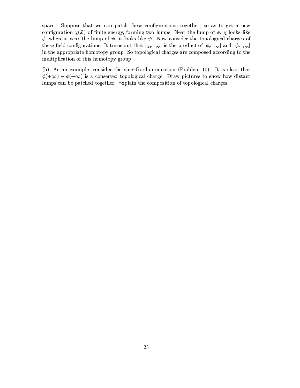space. Suppose that we can patch these configurations together, so as to get a new configuration  $\chi(\vec{x})$  of finite energy, forming two lumps. Near the lump of  $\phi$ ,  $\chi$  looks like  $\phi$ , whereas near the lump of  $\psi$ , it looks like  $\psi$ . Now consider the topological charges of these field configurations. It turns out that  $[\chi_{r\to\infty}]$  is the product of  $[\phi_{r\to\infty}]$  and  $[\psi_{r\to\infty}]$ in the appropriate homotopy group. So topological charges are composed according to the multiplication of this homotopy group.

(h) As an example, consider the sine-Gordon equation (Problem 10). It is clear that  $\phi(+\infty) - \phi(-\infty)$  is a conserved topological charge. Draw pictures to show how distant lumps can be patched together. Explain the composition of topological charges.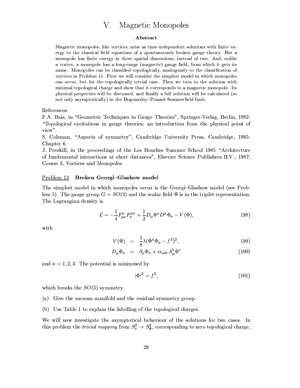#### Magnetic Monopoles V.

### Abstract

Magnetic monopoles, like vortices, arise as time-independent solutions with finite energy to the classical field equations of a spontaneously broken gauge theory. But a monopole has finite energy in three spatial dimensions, instead of two. And, unlike a vortex, a monopole has a long-range (magnetic) gauge field, from which it gets its name. Monopoles can be classified topologically, analogously to the classification of vortices in Problem 11. First we will consider the simplest model in which monopoles can occur, but for the topologically trivial case. Then we turn to the solution with minimal topological charge and show that it corresponds to a magnetic monopole. Its physical properties will be discussed, and finally a full solution will be calculated (so not only asymptotically) in the Bogomolny-Prasad-Sommerfield limit.

References:

F.A. Bais, in "Geometric Techniques in Gauge Theories", Springer-Verlag, Berlin, 1982: "Topological excitations in gauge theories; an introduction from the physical point of view".

S. Coleman, "Aspects of symmetry", Cambridge University Press, Cambridge, 1985: Chapter 6.

J. Preskill, in the proceedings of the Les Houches Summer School 1985 "Architecture of fundamental interactions at short distances", Elsevier Science Publishers B.V., 1987: Course 3, Vortices and Monopoles.

#### Problem 13 Broken Georgi-Glashow model

The simplest model in which monopoles occur is the Georgi-Glashow model (see Problem 5). The gauge group  $G = SO(3)$  and the scalar field  $\Phi$  is in the triplet representation. The Lagrangian density is

$$
\mathcal{L} = -\frac{1}{4} F^{a}_{\mu\nu} F^{{\mu\nu}}_{a} + \frac{1}{2} D_{\mu} \Phi^{a} D^{\mu} \Phi_{a} - V(\Phi), \qquad (98)
$$

with

$$
V(\Phi) = \frac{1}{8}\lambda(\Phi^a \Phi_a - f^2)^2,
$$
\n(99)

$$
D_{\mu}\Phi_{a} = \partial_{\mu}\Phi_{a} + e\epsilon_{abc}A_{\mu}^{b}\Phi^{c}
$$
\n(100)

and  $a = 1, 2, 3$ . The potential is minimised by

$$
|\Phi|^2 = f^2,\tag{101}
$$

which breaks the  $SO(3)$  symmetry.

- (a) Give the vacuum manifold and the residual symmetry group.
- (b) Use Table 1 to explain the labelling of the topological charges.

We will now investigate the asymptotical behaviour of the solutions for two cases. In this problem the *trivial mapping* from  $S_x^2 \to S_{\Phi}^2$ , corresponding to zero topological charge,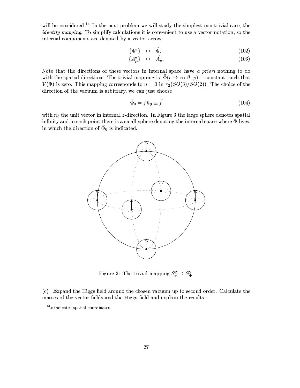will be considered.<sup>14</sup> In the next problem we will study the simplest non-trivial case, the *identity mapping*. To simplify calculations it is convenient to use a vector notation, so the internal components are denoted by a vector arrow:

$$
\{\Phi^a\} \quad \leftrightarrow \quad \vec{\Phi},\tag{102}
$$

$$
\{A^a_\mu\} \quad \leftrightarrow \quad \vec{A}_\mu. \tag{103}
$$

Note that the directions of these vectors in internal space have  $a$  priori nothing to do with the spatial directions. The trivial mapping is  $\vec{\Phi}(r \to \infty, \theta, \varphi) = \text{constant}$ , such that  $V(\Phi)$  is zero. This mapping corresponds to  $n = 0$  in  $\pi_2(SO(3)/SO(2))$ . The choice of the direction of the vacuum is arbitrary, we can just choose

$$
\vec{\Phi}_0 = f\hat{n}_3 \equiv \vec{f} \tag{104}
$$

with  $\hat{n}_3$  the unit vector in internal z-direction. In Figure 3 the large sphere denotes spatial infinity and in each point there is a small sphere denoting the internal space where  $\Phi$  lives, in which the direction of  $\vec{\Phi}_0$  is indicated.



Figure 3: The trivial mapping  $S_x^2 \rightarrow S_{\Phi}^2$ .

(c) Expand the Higgs field around the chosen vacuum up to second order. Calculate the masses of the vector fields and the Higgs field and explain the results.

 $14x$  indicates spatial coordinates.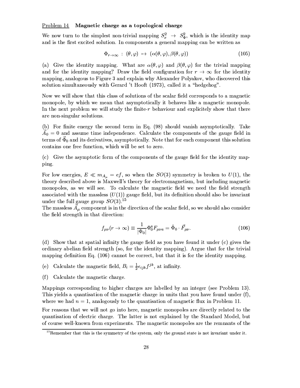### $Problem 14$  Magnetic charge as a topological charge</u>

We now turn to the simplest non-trivial mapping  $S_x^2 \to S_\Phi^2$ , which is the identity map<br>and is the first excited solution. In components a general mapping can be written as

$$
\Phi_{r \to \infty} : (\theta, \varphi) \mapsto (\alpha(\theta, \varphi), \beta(\theta, \varphi)) \tag{105}
$$

(a) Give the identity mapping. What are  $\alpha(\theta, \varphi)$  and  $\beta(\theta, \varphi)$  for the trivial mapping and for the identity mapping? Draw the field configuration for  $r \to \infty$  for the identity mapping, analogous to Figure 3 and explain why Alexander Polyakov, who discovered this solution simultaneously with Gerard 't Hooft (1973), called it a "hedgehog".

Now we will show that this class of solutions of the scalar field corresponds to a magnetic monopole, by which we mean that asymptotically it behaves like a magnetic monopole. In the next problem we will study the finite-r behaviour and explicitely show that there are non-singular solutions.

(b) For finite energy the second term in Eq. (98) should vanish asymptotically. Take  $A_0 = 0$  and assume time independence. Calculate the components of the gauge field in terms of  $\vec{\Phi}_0$  and its derivatives, asymptotically. Note that for each component this solution contains one free function, which will be set to zero.

(c) Give the asymptotic form of the components of the gauge field for the identity mapping.

For low energies,  $E \ll m_{A_\mu} = ef$ , so when the  $SO(3)$  symmetry is broken to  $U(1)$ , the theory described above is Maxwell's theory for electromagnetism, but including magnetic monopoles, as we will see. To calculate the magnetic field we need the field strength associated with the massless  $(U(1))$  gauge field, but its definition should also be invariant under the full gauge group  $SO(3)$ .<sup>15</sup>

The massless  $\vec{A}_{\mu}$  component is in the direction of the scalar field, so we should also consider the field strength in that direction:

$$
f_{\mu\nu}(r \to \infty) \equiv \frac{1}{|\Phi_0|} \Phi_0^a F_{\mu\nu a} = \hat{\Phi}_0 \cdot \vec{F}_{\mu\nu}.
$$
 (106)

(d) Show that at spatial infinity the gauge field as you have found it under (c) gives the ordinary abelian field strength (so, for the identity mapping). Argue that for the trivial mapping definition Eq.  $(106)$  cannot be correct, but that it is for the identity mapping.

- (e) Calculate the magnetic field,  $B_i = \frac{1}{2} \epsilon_{ijk} f^{jk}$ , at infinity.
- (f) Calculate the magnetic charge.

Mappings corresponding to higher charges are labelled by an integer (see Problem 13). This yields a quantisation of the magnetic charge in units that you have found under  $(f)$ , where we had  $n = 1$ , analogously to the quantisation of magnetic flux in Problem 11.

For reasons that we will not go into here, magnetic monopoles are directly related to the quantisation of electric charge. The latter is not explained by the Standard Model, but of course well-known from experiments. The magnetic monopoles are the remnants of the

 $15$ Remember that this is the symmetry of the system, only the ground state is not invariant under it.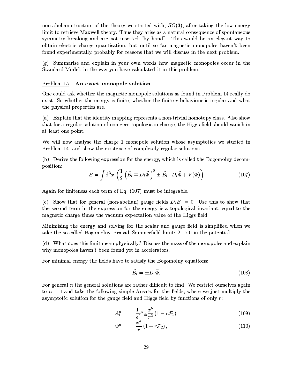non-abelian structure of the theory we started with,  $SO(3)$ , after taking the low energy limit to retrieve Maxwell theory. Thus they arise as a natural consequence of spontaneous symmetry breaking and are not inserted "by hand". This would be an elegant way to obtain electric charge quantisation, but until so far magnetic monopoles haven't been found experimentally, probably for reasons that we will discuss in the next problem.

 $(g)$  Summarise and explain in your own words how magnetic monopoles occur in the Standard Model, in the way you have calculated it in this problem.

### Problem 15 An exact monopole solution

One could ask whether the magnetic monopole solutions as found in Problem 14 really do exist. So whether the energy is finite, whether the finite-r behaviour is regular and what the physical properties are.

(a) Explain that the identity mapping represents a non-trivial homotopy class. Also show that for a regular solution of non-zero topologican charge, the Higgs field should vanish in at least one point.

We will now analyse the charge 1 monopole solution whose asymptotics we studied in Problem 14, and show the existence of completely regular solutions.

(b) Derive the following expression for the energy, which is called the Bogomolny decomposition:

$$
E = \int d^3x \left( \frac{1}{2} \left( \vec{B}_i \mp D_i \vec{\Phi} \right)^2 \pm \vec{B}_i \cdot D_i \vec{\Phi} + V(\Phi) \right)
$$
(107)

Again for finiteness each term of Eq.  $(107)$  must be integrable.

(c) Show that for general (non-abelian) gauge fields  $D_i \vec{B}_i = 0$ . Use this to show that the second term in the expression for the energy is a topological invariant, equal to the magnetic charge times the vacuum expectation value of the Higgs field.

Minimising the energy and solving for the scalar and gauge field is simplified when we take the so-called Bogomolny-Prasad-Sommerfield limit:  $\lambda \to 0$  in the potential.

(d) What does this limit mean physically? Discuss the mass of the monopoles and explain why monopoles haven't been found yet in accelerators.

For minimal energy the fields have to satisfy the Bogomolny equations:

$$
\vec{B}_i = \pm D_i \vec{\Phi}.\tag{108}
$$

For general *n* the general solutions are rather difficult to find. We restrict ourselves again to  $n = 1$  and take the following simple Ansatz for the fields, where we just multiply the asymptotic solution for the gauge field and Higgs field by functions of only  $r$ .

$$
A_i^a = \frac{1}{e} \epsilon^a_{\ i b} \frac{x^b}{r^2} (1 - r \mathcal{F}_1) \tag{109}
$$

$$
\Phi^a = \frac{x^a}{r} (1 + r\mathcal{F}_2), \qquad (110)
$$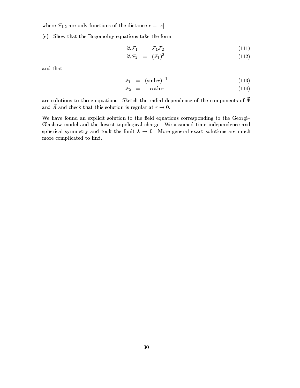where  $\mathcal{F}_{1,2}$  are only functions of the distance  $r = |x|$ .

(e) Show that the Bogomolny equations take the form

$$
\partial_r \mathcal{F}_1 = \mathcal{F}_1 \mathcal{F}_2 \tag{111}
$$

$$
\partial_r \mathcal{F}_2 = (\mathcal{F}_1)^2. \tag{112}
$$

and that

$$
\mathcal{F}_1 = (\sinh r)^{-1} \tag{113}
$$

$$
\mathcal{F}_1 = (\sinh r)^{-1} \tag{113}
$$
\n
$$
\mathcal{F}_2 = -\coth r \tag{114}
$$

are solutions to these equations. Sketch the radial dependence of the components of  $\vec{\Phi}$ and  $\vec{A}$  and check that this solution is regular at  $r \to 0$ .

We have found an explicit solution to the field equations corresponding to the Georgi-Glashow model and the lowest topological charge. We assumed time independence and spherical symmetry and took the limit  $\lambda \to 0$ . More general exact solutions are much more complicated to find.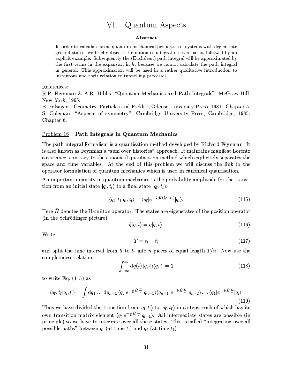#### VI. Quantum Aspects

### Abstract

In order to calculate some quantum mechanical properties of systems with degenerate ground states, we briefly discuss the notion of integration over paths, followed by an explicit example. Subsequently the (Euclidean) path integral will be approximated by the first terms in the expansion in  $\hbar$ , because we cannot calculate the path integral in general. This approximation will be used in a rather qualitative introduction to instantons and their relation to tunnelling processes.

References:

R.P. Feynman & A.R. Hibbs, "Quantum Mechanics and Path Integrals", McGraw-Hill, New York, 1965.

B. Felsager, "Geometry, Particles and Fields", Odense University Press, 1981: Chapter 5. S. Coleman, "Aspects of symmetry", Cambridge University Press, Cambridge, 1985: Chapter 6.

#### Path Integrals in Quantum Mechanics Problem 16

The path integral formalism is a quantisation method developed by Richard Feynman. It is also known as Feynman's "sum over histories" approach. It maintains manifest Lorentz covariance, contrary to the canonical quantisation method which explicitely separates the space and time variables. At the end of this problem we will discuss the link to the operator formulation of quantum mechanics which is used in canonical quantisation.

An important quantity in quantum mechanics is the probability amplitude for the transition from an initial state  $|q_i, t_i\rangle$  to a final state  $|q_f, t_f\rangle$ :

$$
\langle q_{\mathbf{f}}, t_{\mathbf{f}} | q_{\mathbf{i}}, t_{\mathbf{i}} \rangle = \langle q_{\mathbf{f}} | e^{-\frac{i}{\hbar} \hat{H}(t_{\mathbf{f}} - t_{\mathbf{i}})} | q_{\mathbf{i}} \rangle. \tag{115}
$$

Here  $\hat{H}$  denotes the Hamilton operator. The states are eigenstates of the position operator (in the Schrödinger picture):

$$
\hat{q}|q,t\rangle = q|q,t\rangle. \tag{116}
$$

Write

$$
T = t_{\rm f} - t_{\rm i} \tag{117}
$$

and split the time interval from  $t_i$  to  $t_f$  into n pieces of equal length  $T/n$ . Now use the completeness relation

$$
\int_{-\infty}^{\infty} dq(t) |q, t\rangle\langle q, t| = 1
$$
\n(118)

to write Eq.  $(115)$  as

$$
\langle q_{\mathbf{f}}, t_{\mathbf{f}} | q_{\mathbf{i}}, t_{\mathbf{i}} \rangle = \int \mathrm{d}q_{1} \ldots \mathrm{d}q_{n-1} \, \langle q_{\mathbf{f}} | e^{-\frac{i}{\hbar} \hat{H} \frac{T}{n}} | q_{n-1} \rangle \langle q_{n-1} | e^{-\frac{i}{\hbar} \hat{H} \frac{T}{n}} | q_{n-2} \rangle \ldots \langle q_{1} | e^{-\frac{i}{\hbar} \hat{H} \frac{T}{n}} | q_{\mathbf{i}} \rangle. \tag{119}
$$

Thus we have divided the transition from  $|q_i, t_i\rangle$  to  $|q_f, t_f\rangle$  in *n* steps, each of which has its own transition matrix element  $\langle q_l|e^{-\frac{i}{\hbar}\hat{H}\frac{T}{n}}|q_{l-1}\rangle$ . All intermediate states are possible (in principle) so we have to integrate over all these states. This is called "integrating over all possible paths" between  $q_i$  (at time  $t_i$ ) and  $q_f$  (at time  $t_f$ ).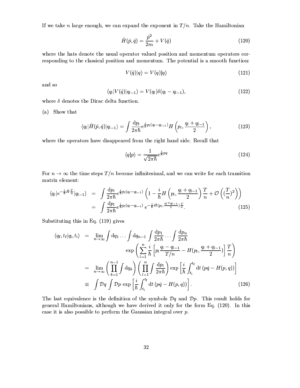If we take *n* large enough, we can expand the exponent in  $T/n$ . Take the Hamiltonian

$$
\hat{H}(\hat{p}, \hat{q}) = \frac{\hat{p}^2}{2m} + V(\hat{q})
$$
\n(120)

where the hats denote the usual operator valued position and momentum operators corresponding to the classical position and momentum. The potential is a smooth function:

$$
V(\hat{q})|q\rangle = V(q)|q\rangle \tag{121}
$$

and so

$$
\langle q_l | V(\hat{q}) | q_{l-1} \rangle = V(q_l) \delta(q_l - q_{l-1}), \qquad (122)
$$

where  $\delta$  denotes the Dirac delta function.

(a) Show that

$$
\langle q_l | \hat{H}(\hat{p}, \hat{q}) | q_{l-1} \rangle = \int \frac{\mathrm{d}p_l}{2\pi\hbar} e^{\frac{i}{\hbar}p_l(q_l - q_{l-1})} H\left(p_l, \frac{q_l + q_{l-1}}{2}\right),\tag{123}
$$

where the operators have disappeared from the right hand side. Recall that

$$
\langle q|p\rangle = \frac{1}{\sqrt{2\pi\hbar}} e^{\frac{i}{\hbar}pq} \tag{124}
$$

For  $n \to \infty$  the time steps  $T/n$  become infinitesimal, and we can write for each transition matrix element:

$$
\langle q_{l}|e^{-\frac{i}{\hbar}\hat{H}\frac{T}{n}}|q_{l-1}\rangle = \int \frac{\mathrm{d}p_{l}}{2\pi\hbar} e^{\frac{i}{\hbar}p_{l}(q_{l}-q_{l-1})} \left(1 - \frac{i}{\hbar}H\left(p_{l}, \frac{q_{l}+q_{l-1}}{2}\right)\frac{T}{n} + \mathcal{O}\left((\frac{T}{n})^{2}\right)\right)
$$

$$
= \int \frac{\mathrm{d}p_{l}}{2\pi\hbar} e^{\frac{i}{\hbar}p_{l}(q_{l}-q_{l-1})} e^{-\frac{i}{\hbar}H\left(p_{l}, \frac{q_{l}+q_{l-1}}{2}\right)\frac{T}{n}}.
$$
(125)

Substituting this in Eq. (119) gives

$$
\langle q_{\rm f}, t_{\rm f}|q_{\rm i}, t_{\rm i}\rangle = \lim_{n \to \infty} \int dq_{1} \dots \int dq_{n-1} \int \frac{dp_{1}}{2\pi\hbar} \dots \int \frac{dp_{n}}{2\pi\hbar}
$$
  
\n
$$
\exp\left(\sum_{l=1}^{n} \frac{i}{\hbar} \left[ p_{l} \frac{q_{l} - q_{l-1}}{T/n} - H(p_{l}, \frac{q_{l} + q_{l-1}}{2}) \right] \frac{T}{n}\right)
$$
  
\n
$$
= \lim_{n \to \infty} \left(\prod_{k=1}^{n-1} \int dq_{k}\right) \left(\prod_{l=1}^{n} \int \frac{dp_{l}}{2\pi\hbar}\right) \exp\left[\frac{i}{\hbar} \int_{t_{\rm i}}^{t_{\rm f}} dt (p\dot{q} - H(p, q))\right]
$$
  
\n
$$
\equiv \int \mathcal{D}q \int \mathcal{D}p \exp\left[\frac{i}{\hbar} \int_{t_{\rm i}}^{t_{\rm f}} dt (p\dot{q} - H(p, q))\right].
$$
\n(126)

The last equivalence is the definition of the symbols  $\mathcal{D}q$  and  $\mathcal{D}p$ . This result holds for general Hamiltonians, although we have derived it only for the form Eq. (120). In this case it is also possible to perform the Gaussian integral over  $p$ .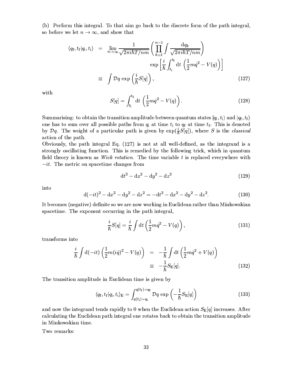(b) Perform this integral. To that aim go back to the discrete form of the path integral, so before we let  $n \to \infty$ , and show that

$$
\langle q_{\rm f}, t_{\rm f}|q_{\rm i}, t_{\rm i}\rangle = \lim_{n \to \infty} \frac{1}{\sqrt{2\pi i\hbar T/nm}} \left(\prod_{k=1}^{n-1} \int \frac{\mathrm{d}q_k}{\sqrt{2\pi i\hbar T/nm}}\right) \exp\left[\frac{i}{\hbar} \int_{t_{\rm i}}^{t_{\rm f}} \mathrm{d}t \left(\frac{1}{2}m\dot{q}^2 - V(q)\right)\right]
$$

$$
= \int \mathcal{D}q \, \exp\left(\frac{i}{\hbar}S[q]\right), \tag{127}
$$

with

$$
S[q] = \int_{t_i}^{t_f} dt \left(\frac{1}{2}m\dot{q}^2 - V(q)\right).
$$
 (128)

Summarising: to obtain the transition amplitude between quantum states  $|q_i, t_i\rangle$  and  $|q_f, t_f\rangle$ one has to sum over all possible paths from  $q_i$  at time  $t_i$  to  $q_f$  at time  $t_f$ . This is denoted by  $\mathcal{D}q$ . The weight of a particular path is given by  $\exp(\frac{i}{\hbar}S[q])$ , where S is the *classical* action of the path.

Obviously, the path integral Eq. (127) is not at all well-defined, as the integrand is a strongly oscillating function. This is remedied by the following trick, which in quantum field theory is known as *Wick rotation*. The time variable t is replaced everywhere with  $-it.$  The metric on spacetime changes from

$$
dt^2 - dx^2 - dy^2 - dz^2
$$
 (129)

into

$$
d(-it)^{2} - dx^{2} - dy^{2} - dz^{2} = -dt^{2} - dx^{2} - dy^{2} - dz^{2}.
$$
 (130)

It becomes (negative) definite so we are now working in Euclidean rather than Minkowskian spacetime. The exponent occurring in the path integral,

$$
\frac{i}{\hbar}S[q] = \frac{i}{\hbar} \int \mathrm{d}t \left(\frac{1}{2}m\dot{q}^2 - V(q)\right),\tag{131}
$$

transforms into

$$
\frac{i}{\hbar} \int d(-it) \left( \frac{1}{2} m(i\dot{q})^2 - V(q) \right) = -\frac{1}{\hbar} \int dt \left( \frac{1}{2} m \dot{q}^2 + V(q) \right)
$$
\n
$$
\equiv -\frac{1}{\hbar} S_{\mathcal{E}}[q]. \tag{132}
$$

The transition amplitude in Euclidean time is given by

$$
\langle q_{\rm f}, t_{\rm f}|q_{\rm i}, t_{\rm i}\rangle_{\rm E} = \int_{q(t_{\rm i})=q_{\rm i}}^{q(t_{\rm f})=q_{\rm f}} \mathcal{D}q \exp\left(-\frac{1}{\hbar}S_{\rm E}[q]\right) \tag{133}
$$

and now the integrand tends rapidly to 0 when the Euclidean action  $S_{\rm E}[q]$  increases. After calculating the Euclidean path integral one rotates back to obtain the transition amplitude in Minkowskian time.

Two remarks: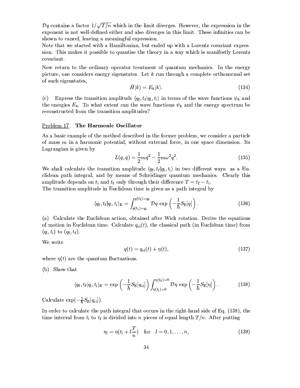$\mathcal{D}q$  contains a factor  $1/\sqrt{T/n}$  which in the limit diverges. However, the expression in the exponent is not well-defined either and also diverges in this limit. These infinities can be shown to cancel, leaving a meaningful expression.

Note that we started with a Hamiltonian, but ended up with a Lorentz covariant expression. This makes it possible to quantise the theory in a way which is manifestly Lorentz covariant.

Now return to the ordinary operator treatment of quantum mechanics. In the energy picture, one considers energy eigenstates. Let  $k$  run through a complete orthonormal set of such eigenstates,

$$
\hat{H}|k\rangle = E_k|k\rangle. \tag{134}
$$

Express the transition amplitude  $\langle q_f, t_f | q_i, t_i \rangle$  in terms of the wave functions  $\psi_k$  and  $(c)$ the energies  $E_k$ . To what extent can the wave functions  $\psi_k$  and the energy spectrum be reconstructed from the transition amplitudes?

#### The Harmonic Oscillator <u>Problem 17</u>

As a basic example of the method described in the former problem, we consider a particle of mass  $m$  in a harmonic potential, without external force, in one space dimension. Its Lagrangian is given by

$$
L(q, \dot{q}) = \frac{1}{2}m\dot{q}^2 - \frac{1}{2}m\omega^2 q^2.
$$
 (135)

We shall calculate the transition amplitude  $\langle q_f, t_f | q_i, t_i \rangle$  in two different ways: as a Euclidean path integral, and by means of Schrödinger quantum mechanics. Clearly this amplitude depends on  $t_i$  and  $t_f$  only through their difference  $T = t_f - t_i$ .

The transition amplitude in Euclidean time is given as a path integral by

$$
\langle q_{\mathbf{f}}, t_{\mathbf{f}} | q_{\mathbf{i}}, t_{\mathbf{i}} \rangle_{\mathbf{E}} = \int_{q(t_{\mathbf{i}})=q_{\mathbf{i}}}^{q(t_{\mathbf{f}})=q_{\mathbf{f}}} \mathcal{D}q \, \exp\left(-\frac{1}{\hbar} S_{\mathbf{E}}[q]\right).
$$
 (136)

(a) Calculate the Euclidean action, obtained after Wick rotation. Derive the equations of motion in Euclidean time. Calculate  $q_{\text{cl}}(t)$ , the classical path (in Euclidean time) from  $(q_i, t_i)$  to  $(q_f, t_f)$ .

We write

$$
q(t) = q_{\rm cl}(t) + \eta(t), \tag{137}
$$

where  $\eta(t)$  are the quantum fluctuations.

(b) Show that

$$
\langle q_{\rm f}, t_{\rm f}|q_{\rm i}, t_{\rm i}\rangle_{\rm E} = \exp\left(-\frac{1}{\hbar}S_{\rm E}[q_{\rm cl}]\right)\int_{\eta(t_{\rm i})=0}^{\eta(t_{\rm f})=0} \mathcal{D}\eta \exp\left(-\frac{1}{\hbar}S_{\rm E}[\eta]\right). \tag{138}
$$

Calculate  $\exp(-\frac{1}{\hbar}S_{\rm E}[q_{\rm cl}]).$ 

In order to calculate the path integral that occurs in the right-hand side of Eq. (138), the time interval from  $t_i$  to  $t_f$  is divided into n pieces of equal length  $T/n$ . After putting

$$
\eta_l = \eta(t_l + l\frac{T}{n}) \quad \text{for} \quad l = 0, 1, \dots, n,
$$
\n(139)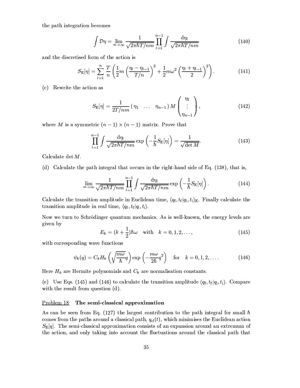the path integration becomes

$$
\int \mathcal{D}\eta = \lim_{n \to \infty} \frac{1}{\sqrt{2\pi\hbar T/nm}} \prod_{l=1}^{n-1} \int \frac{\mathrm{d}\eta_l}{\sqrt{2\pi\hbar T/nm}} \tag{140}
$$

and the discretised form of the action is

$$
S_{\mathcal{E}}[\eta] = \sum_{l=1}^{n} \frac{T}{n} \left( \frac{1}{2} m \left( \frac{\eta_{l} - \eta_{l-1}}{T/n} \right)^{2} + \frac{1}{2} m \omega^{2} \left( \frac{\eta_{l} + \eta_{l-1}}{2} \right)^{2} \right).
$$
 (141)

(c) Rewrite the action as

$$
S_{\mathcal{E}}[\eta] = \frac{1}{2T/nm} (\eta_1 \dots \eta_{n-1}) M\begin{pmatrix} \eta_1 \\ \vdots \\ \eta_{n-1} \end{pmatrix},
$$
 (142)

where M is a symmetric  $(n-1) \times (n-1)$  matrix. Prove that

$$
\prod_{l=1}^{n-1} \int \frac{\mathrm{d}\eta_l}{\sqrt{2\pi\hbar T/nm}} \exp\left(-\frac{1}{\hbar}S_{\mathrm{E}}[\eta]\right) = \frac{1}{\sqrt{\det M}}.\tag{143}
$$

Calculate det  $M$ .

(d) Calculate the path integral that occurs in the right-hand side of Eq. (138), that is,

$$
\lim_{n \to \infty} \frac{1}{\sqrt{2\pi\hbar T/nm}} \prod_{l=1}^{n-1} \int \frac{\mathrm{d}\eta_l}{\sqrt{2\pi\hbar T/nm}} \exp\left(-\frac{1}{\hbar} S_{\mathrm{E}}[\eta]\right). \tag{144}
$$

Calculate the transition amplitude in Euclidean time,  $\langle q_f, t_f | q_i, t_i \rangle_E$ . Finally calculate the transition amplitude in real time,  $\langle q_f, t_f | q_i, t_i \rangle$ .

Now we turn to Schrödinger quantum mechanics. As is well-known, the energy levels are given by

$$
E_k = (k + \frac{1}{2})\hbar\omega \quad \text{with} \quad k = 0, 1, 2, \dots,
$$
 (145)

with corresponding wave functions

$$
\psi_k(q) = C_k H_k \left( \sqrt{\frac{m\omega}{\hbar}} q \right) \exp\left( -\frac{m\omega}{2\hbar} q^2 \right) \quad \text{for} \quad k = 0, 1, 2, \dots \tag{146}
$$

Here  $H_k$  are Hermite polynomials and  $C_k$  are normalisation constants.

(e) Use Eqs. (145) and (146) to calculate the transition amplitude  $\langle q_f, t_f | q_i, t_i \rangle$ . Compare with the result from question (d).

#### Problem 18 The semi-classical approximation

As can be seen from Eq. (127) the largest contribution to the path integral for small  $\hbar$ comes from the paths around a classical path,  $q_{cl}(t)$ , which minimises the Euclidean action  $S_{\rm E}[q]$ . The semi-classical approximation consists of an expansion around an extremum of the action, and only taking into account the fluctuations around the classical path that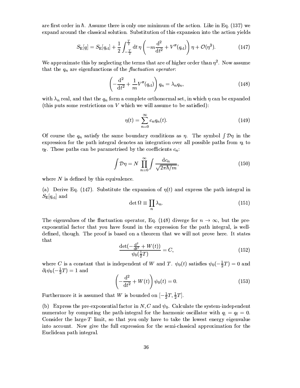are first order in  $\hbar$ . Assume there is only one minimum of the action. Like in Eq. (137) we expand around the classical solution. Substitution of this expansion into the action yields

$$
S_{\rm E}[q] = S_{\rm E}[q_{\rm cl}] + \frac{1}{2} \int_{-\frac{T}{2}}^{\frac{T}{2}} dt \,\eta \left( -m \frac{d^2}{dt^2} + V''(q_{\rm cl}) \right) \eta + \mathcal{O}(\eta^3). \tag{147}
$$

We approximate this by neglecting the terms that are of higher order than  $\eta^2$ . Now assume that the  $q_n$  are eigenfunctions of the fluctuation operator:

$$
\left(-\frac{\mathrm{d}^2}{\mathrm{d}t^2} + \frac{1}{m}V''(q_{\mathrm{cl}})\right)q_n = \lambda_n q_n,\tag{148}
$$

with  $\lambda_n$  real, and that the  $q_n$  form a complete orthonormal set, in which  $\eta$  can be expanded (this puts some restrictions on  $V$  which we will assume to be satisfied):

$$
\eta(t) = \sum_{n=0}^{\infty} c_n q_n(t). \tag{149}
$$

Of course the  $q_n$  satisfy the same boundary conditions as  $\eta$ . The symbol  $\int \mathcal{D}\eta$  in the expression for the path integral denotes an integration over all possible paths from  $\eta_i$  to  $\eta_{\rm f}$ . These paths can be parametrised by the coefficients  $c_n$ .

$$
\int \mathcal{D}\eta = N \prod_{n=0}^{\infty} \int \frac{\mathrm{d}c_n}{\sqrt{2\pi\hbar/m}},\tag{150}
$$

where  $N$  is defined by this equivalence.

(a) Derive Eq. (147). Substitute the expansion of  $\eta(t)$  and express the path integral in  $S_{\mathrm{E}}[q_{\mathrm{cl}}]$  and

$$
\det \Omega \equiv \prod_{n} \lambda_n. \tag{151}
$$

The eigenvalues of the fluctuation operator, Eq. (148) diverge for  $n \to \infty$ , but the preexponential factor that you have found in the expression for the path integral, is welldefined, though. The proof is based on a theorem that we will not prove here. It states that

$$
\frac{\det\left(-\frac{\mathrm{d}^2}{\mathrm{d}t^2} + W(t)\right)}{\psi_0(\frac{1}{2}T)} = C,\tag{152}
$$

where C is a constant that is independent of W and T.  $\psi_0(t)$  satisfies  $\psi_0(-\frac{1}{2}T) = 0$  and  $\partial_t \psi_0(-\frac{1}{2}T) = 1$  and

$$
\left(-\frac{\mathrm{d}^2}{\mathrm{d}t^2} + W(t)\right)\psi_0(t) = 0.\tag{153}
$$

Furthermore it is assumed that W is bounded on  $\left[-\frac{1}{2}T,\frac{1}{2}T\right]$ .

(b) Express the pre-exponential factor in N, C and  $\psi_0$ . Calculate the system-independent numerator by computing the path-integral for the harmonic oscillator with  $q_i = q_f = 0$ . Consider the large- $T$  limit, so that you only have to take the lowest energy eigenvalue into account. Now give the full expression for the semi-classical approximation for the Euclidean path integral.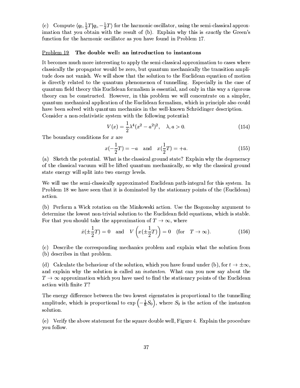(c) Compute  $\langle q_f, \frac{1}{2}T|q_i, -\frac{1}{2}T\rangle$  for the harmonic oscillator, using the semi-classical approximation that you obtain with the result of (b). Explain why this is exactly the Green's function for the harmonic oscillator as you have found in Problem 17.

#### Problem 19 The double well: an introduction to instantons

It becomes much more interesting to apply the semi-classical approximation to cases where classically the propagator would be zero, but quantum mechanically the transition amplitude does not vanish. We will show that the solution to the Euclidean equation of motion is directly related to the quantum phenomenon of tunnelling. Especially in the case of quantum field theory this Euclidean formalism is essential, and only in this way a rigorous theory can be constructed. However, in this problem we will concentrate on a simpler, quantum mechanical application of the Euclidean formalism, which in principle also could have been solved with quantum mechanics in the well-known Schrödinger description. Consider a non-relativistic system with the following potential:

$$
V(x) = \frac{1}{2}\lambda^4 (x^2 - a^2)^2, \quad \lambda, a > 0.
$$
 (154)

The boundary conditions for  $x$  are

$$
x(-\frac{1}{2}T) = -a
$$
 and  $x(\frac{1}{2}T) = +a$ . (155)

(a) Sketch the potential. What is the classical ground state? Explain why the degeneracy of the classical vacuum will be lifted quantum mechanically, so why the classical ground state energy will split into two energy levels.

We will use the semi-classically approximated Euclidean path-integral for this system. In Problem 18 we have seen that it is dominated by the stationary points of the (Euclidean) action.

(b) Perform a Wick rotation on the Minkowski action. Use the Bogomolny argument to determine the lowest non-trivial solution to the Euclidean field equations, which is stable. For that you should take the approximation of  $T \to \infty$ , where

$$
\dot{x}(\pm \frac{1}{2}T) = 0 \quad \text{and} \quad V\left(x(\pm \frac{1}{2}T)\right) = 0 \quad \text{(for} \quad T \to \infty). \tag{156}
$$

(c) Describe the corresponding mechanics problem and explain what the solution from (b) describes in that problem.

(d) Calculate the behaviour of the solution, which you have found under (b), for  $t \to \pm \infty$ , and explain why the solution is called an *instanton*. What can you now say about the  $T\rightarrow\infty$  approximation which you have used to find the stationary points of the Euclidean action with finite  $T$ ?

The energy difference between the two lowest eigenstates is proportional to the tunnelling amplitude, which is proportional to  $\exp\left(-\frac{1}{\hbar}S_0\right)$ , where  $S_0$  is the action of the instanton solution.

(e) Verify the above statement for the square double well, Figure 4. Explain the procedure you follow.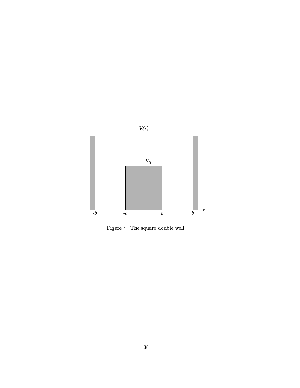

Figure 4: The square double well.  $\;$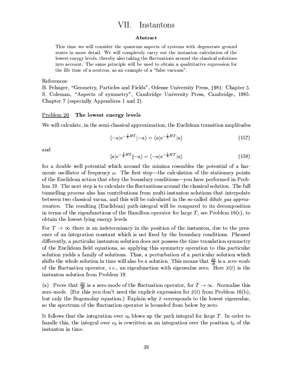#### VII. Instantons

### Abstract

This time we will consider the quantum aspects of systems with degenerate ground states in more detail. We will completely carry out the instanton calculation of the lowest energy levels, thereby also taking the fluctuations around the classical solutions into account. The same principle will be used to obtain a qualititative expression for the life time of a neutron, as an example of a "false vacuum".

#### References:

B. Felsager, "Geometry, Particles and Fields", Odense University Press, 1981: Chapter 5. S. Coleman, "Aspects of symmetry", Cambridge University Press, Cambridge, 1985: Chapter 7 (especially Appendices 1 and 2).

#### Problem 20 The lowest energy levels

We will calculate, in the semi-classical approximation, the Euclidean transition amplitudes

$$
\langle -a|e^{-\frac{1}{\hbar}HT}|-a\rangle = \langle a|e^{-\frac{1}{\hbar}HT}|a\rangle \tag{157}
$$

and

$$
\langle a|e^{-\frac{1}{\hbar}HT}|-a\rangle = \langle -a|e^{-\frac{1}{\hbar}HT}|a\rangle \tag{158}
$$

for a double well potential which around the minima resembles the potential of a harmonic oscillator of frequency  $\omega$ . The first step—the calculation of the stationary points of the Euclidean action that obey the boundary conditions—you have performed in Problem 19. The next step is to calculate the fluctuations around the classical solution. The full tunnelling process also has contributions from multi-instanton solutions that interpolate between two classical vacua, and this will be calculated in the so-called *dilute gas approximation*. The resulting (Euclidean) path-integral will be compared to its decomposition in terms of the eigenfunctions of the Hamilton operator for large T, see Problem 16(c), to obtain the lowest-lying energy levels.

For  $T \to \infty$  there is an indeterminacy in the position of the instanton, due to the presence of an integration constant which is not fixed by the boundary conditions. Phrased differently, a particular instanton solution does not possess the time translation symmetry of the Euclidean field equations, so applying this symmetry operation to this particular solution yields a family of solutions. Thus, a perturbation of a particular solution which shifts the whole solution in time will also be a solution. This means that  $\frac{d\bar{x}}{dt}$  is a zero-mode of the fluctuation operator, *i.e.*, an eigenfunction with eigenvalue zero. Here  $\bar{x}(t)$  is the instanton solution from Problem 19.

(a) Prove that  $\frac{d\bar{x}}{dt}$  is a zero-mode of the fluctuation operator, for  $T \to \infty$ . Normalise this zero-mode. (For this you don't need the explicit expression for  $\bar{x}(t)$  from Problem 16(b), but only the Bogomolny equation.) Explain why  $\bar{x}$  corresponds to the lowest eigenvalue, so the spectrum of the fluctuation operator is bounded from below by zero.

It follows that the integration over  $c_0$  blows up the path integral for large T. In order to handle this, the integral over  $c_0$  is rewritten as an integration over the position  $t_0$  of the instanton in time.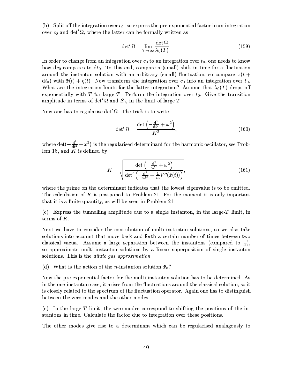(b) Split off the integration over  $c_0$ , so express the pre-exponential factor in an integration over  $c_0$  and det' $\Omega$ , where the latter can be formally written as

$$
\det' \Omega = \lim_{T \to \infty} \frac{\det \Omega}{\lambda_0(T)}.
$$
\n(159)

In order to change from an integration over  $c_0$  to an integration over  $t_0$ , one needs to know how  $dc_0$  compares to  $dt_0$ . To this end, compare a (small) shift in time for a fluctuation around the instanton solution with an arbitrary (small) fluctuation, so compare  $\bar{x}(t +$  $dt_0$ ) with  $\bar{x}(t) + \eta(t)$ . Now transform the integration over  $c_0$  into an integration over  $t_0$ . What are the integration limits for the latter integration? Assume that  $\lambda_0(T)$  drops off exponentially with T for large T. Perform the integration over  $t_0$ . Give the transition amplitude in terms of det'  $\Omega$  and  $S_0$ , in the limit of large T.

Now one has to regularise det'  $\Omega$ . The trick is to write

$$
\det' \Omega = \frac{\det \left( -\frac{d^2}{dt^2} + \omega^2 \right)}{K^2},\tag{160}
$$

where  $\det(-\frac{d^2}{dt^2} + \omega^2)$  is the regularised determinant for the harmonic oscillator, see Problem 18, and  $K$  is defined by

$$
K = \sqrt{\frac{\det\left(-\frac{\mathrm{d}^2}{\mathrm{d}t^2} + \omega^2\right)}{\det'\left(-\frac{\mathrm{d}^2}{\mathrm{d}t^2} + \frac{1}{m}V''(\bar{x}(t))\right)}},\tag{161}
$$

where the prime on the determinant indicates that the lowest eigenvalue is to be omitted. The calculation of K is postponed to Problem 21. For the moment it is only important that it is a finite quantity, as will be seen in Problem 21.

(c) Express the tunnelling amplitude due to a single instanton, in the large- $T$  limit, in terms of  $K$ .

Next we have to consider the contribution of multi-instanton solutions, so we also take solutions into account that move back and forth a certain number of times between two classical vacua. Assume a large separation between the instantons (compared to  $\frac{1}{n}$ ), so approximate multi-instanton solutions by a linear superposition of single instanton solutions. This is the *dilute gas approximation*.

(d) What is the action of the *n*-instanton solution  $\bar{x}_n$ ?

Now the pre-exponential factor for the multi-instanton solution has to be determined. As in the one-instanton case, it arises from the fluctuations around the classical solution, so it is closely related to the spectrum of the fluctuation operator. Again one has to distinguish between the zero-modes and the other modes.

(e) In the large-T limit, the zero-modes correspond to shifting the positions of the instantons in time. Calculate the factor due to integration over these positions.

The other modes give rise to a determinant which can be regularised analagously to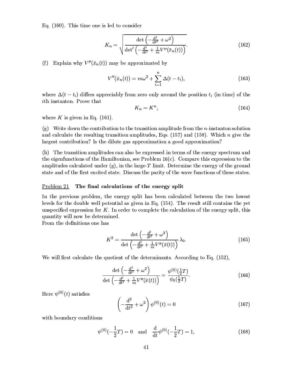Eq.  $(160)$ . This time one is led to consider

$$
K_n = \sqrt{\frac{\det\left(-\frac{\mathrm{d}^2}{\mathrm{d}t^2} + \omega^2\right)}{\det'\left(-\frac{\mathrm{d}^2}{\mathrm{d}t^2} + \frac{1}{m}V''(\bar{x}_n(t))\right)}}.
$$
(162)

(f) Explain why  $V''(\bar{x}_n(t))$  may be approximated by

$$
V''(\bar{x}_n(t)) = m\omega^2 + \sum_{i=1}^n \Delta(t - t_i),
$$
\n(163)

where  $\Delta(t-t_i)$  differs appreciably from zero only around the position  $t_i$  (in time) of the *ith* instanton. Prove that

$$
K_n = K^n,\t\t(164)
$$

where K is given in Eq.  $(161)$ .

 $(g)$  Write down the contribution to the transition amplitude from the *n*-instanton solution and calculate the resulting transition amplitudes, Eqs.  $(157)$  and  $(158)$ . Which *n* give the largest contribution? Is the dilute gas approximation a good approximation?

(h) The transition amplitudes can also be expressed in terms of the energy spectrum and the eigenfunctions of the Hamiltonian, see Problem  $16(c)$ . Compare this expression to the amplitudes calculated under  $(g)$ , in the large-T limit. Determine the energy of the ground state and of the first excited state. Discuss the parity of the wave functions of these states.

#### The final calculations of the energy split Problem 21

In the previous problem, the energy split has been calculated between the two lowest levels for the double well potential as given in Eq. (154). The result still contains the yet unspecified expression for  $K$ . In order to complete the calculation of the energy split, this quantity will now be determined.

From the definitions one has

$$
K^{2} = \frac{\det\left(-\frac{\mathrm{d}^{2}}{\mathrm{d}t^{2}} + \omega^{2}\right)}{\det\left(-\frac{\mathrm{d}^{2}}{\mathrm{d}t^{2}} + \frac{1}{m}V''(\bar{x}(t))\right)}\lambda_{0}.
$$
 (165)

We will first calculate the quotient of the determinants. According to Eq. (152),

$$
\frac{\det\left(-\frac{\mathrm{d}^2}{\mathrm{d}t^2} + \omega^2\right)}{\det\left(-\frac{\mathrm{d}^2}{\mathrm{d}t^2} + \frac{1}{m}V''(\bar{x}(t))\right)} = \frac{\psi^{(0)}(\frac{1}{2}T)}{\psi_0(\frac{1}{2}T)}.\tag{166}
$$

Here  $\psi^{(0)}(t)$  satisfies

$$
\left(-\frac{\mathrm{d}^2}{\mathrm{d}t^2} + \omega^2\right)\psi^{(0)}(t) = 0\tag{167}
$$

with boundary conditions

$$
\psi^{(0)}(-\frac{1}{2}T) = 0 \quad \text{and} \quad \frac{\mathrm{d}}{\mathrm{d}t}\psi^{(0)}(-\frac{1}{2}T) = 1,\tag{168}
$$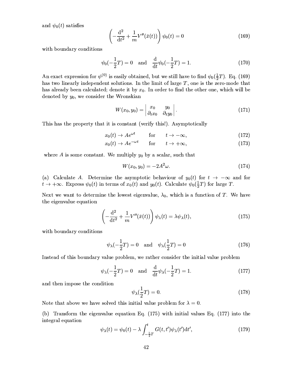and  $\psi_0(t)$  satisfies

$$
\left(-\frac{\mathrm{d}^2}{\mathrm{d}t^2} + \frac{1}{m}V''(\bar{x}(t))\right)\psi_0(t) = 0\tag{169}
$$

with boundary conditions

$$
\psi_0(-\frac{1}{2}T) = 0
$$
 and  $\frac{d}{dt}\psi_0(-\frac{1}{2}T) = 1.$  (170)

An exact expression for  $\psi^{(0)}$  is easily obtained, but we still have to find  $\psi_0(\frac{1}{2}T)$ . Eq. (169) has two linearly independent solutions. In the limit of large  $T$ , one is the zero-mode that has already been calculated; denote it by  $x_0$ . In order to find the other one, which will be denoted by  $y_0$ , we consider the Wronskian

$$
W(x_0, y_0) = \begin{vmatrix} x_0 & y_0 \\ \partial_t x_0 & \partial_t y_0 \end{vmatrix}.
$$
 (171)

This has the property that it is constant (verify this!). Asymptotically

$$
x_0(t) \to A e^{\omega t} \qquad \text{for} \qquad t \to -\infty, \tag{172}
$$

$$
x_0(t) \to A e^{-\omega t} \qquad \text{for} \qquad t \to +\infty,\tag{173}
$$

where A is some constant. We multiply  $y_0$  by a scalar, such that

$$
W(x_0, y_0) = -2A^2 \omega.
$$
 (174)

(a) Calculate A. Determine the asymptotic behaviour of  $y_0(t)$  for  $t \to -\infty$  and for  $t \to +\infty$ . Express  $\psi_0(t)$  in terms of  $x_0(t)$  and  $y_0(t)$ . Calculate  $\psi_0(\frac{1}{2}T)$  for large T.

Next we want to determine the lowest eigenvalue,  $\lambda_0$ , which is a function of T. We have the eigenvalue equation

$$
\left(-\frac{\mathrm{d}^2}{\mathrm{d}t^2} + \frac{1}{m}V''(\bar{x}(t))\right)\psi_\lambda(t) = \lambda\psi_\lambda(t),\tag{175}
$$

with boundary conditions

$$
\psi_{\lambda}(-\frac{1}{2}T) = 0 \quad \text{and} \quad \psi_{\lambda}(\frac{1}{2}T) = 0 \tag{176}
$$

Instead of this boundary value problem, we rather consider the initial value problem

$$
\psi_{\lambda}(-\frac{1}{2}T) = 0 \quad \text{and} \quad \frac{\mathrm{d}}{\mathrm{d}t}\psi_{\lambda}(-\frac{1}{2}T) = 1. \tag{177}
$$

and then impose the condition

$$
\psi_{\lambda}(\frac{1}{2}T) = 0. \tag{178}
$$

Note that above we have solved this initial value problem for  $\lambda = 0$ .

(b) Transform the eigenvalue equation Eq. (175) with initial values Eq. (177) into the integral equation

$$
\psi_{\lambda}(t) = \psi_0(t) - \lambda \int_{-\frac{1}{2}T}^{t} G(t, t') \psi_{\lambda}(t') \mathrm{d}t', \qquad (179)
$$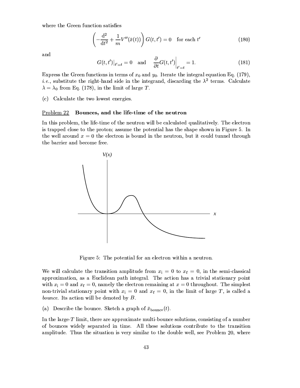where the Green function satisfies

$$
\left(-\frac{\mathrm{d}^2}{\mathrm{d}t^2} + \frac{1}{m}V''(\bar{x}(t))\right)G(t, t') = 0 \quad \text{for each } t' \tag{180}
$$

and

$$
G(t, t')|_{t'=t} = 0 \quad \text{and} \quad \frac{\partial}{\partial t} G(t, t')|_{t'=t} = 1.
$$
 (181)

Express the Green functions in terms of  $x_0$  and  $y_0$ . Iterate the integral equation Eq. (179), *i.e.*, substitute the right-hand side in the integrand, discarding the  $\lambda^2$  terms. Calculate  $\lambda = \lambda_0$  from Eq. (178), in the limit of large T.

(c) Calculate the two lowest energies.

#### Problem 22 Bounces, and the life-time of the neutron

In this problem, the life-time of the neutron will be calculated qualitatively. The electron is trapped close to the proton; assume the potential has the shape shown in Figure 5. In the well around  $x = 0$  the electron is bound in the neutron, but it could tunnel through the barrier and become free.



Figure 5: The potential for an electron within a neutron.

We will calculate the transition amplitude from  $x_i = 0$  to  $x_f = 0$ , in the semi-classical approximation, as a Euclidean path integral. The action has a trivial stationary point with  $x_i = 0$  and  $x_f = 0$ , namely the electron remaining at  $x = 0$  throughout. The simplest non-trivial stationary point with  $x_i = 0$  and  $x_f = 0$ , in the limit of large T, is called a bounce. Its action will be denoted by  $B$ .

(a) Describe the bounce. Sketch a graph of  $\bar{x}_{\text{bounce}}(t)$ .

In the large- $T$  limit, there are approximate multi-bounce solutions, consisting of a number of bounces widely separated in time. All these solutions contribute to the transition amplitude. Thus the situation is very similar to the double well, see Problem 20, where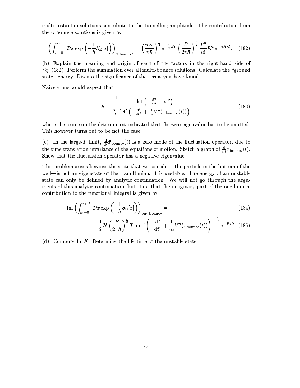multi-instanton solutions contribute to the tunnelling amplitude. The contribution from the  $n$ -bounce solutions is given by

$$
\left(\int_{x_i=0}^{x_f=0} \mathcal{D}x \exp\left(-\frac{1}{\hbar}S_E[x]\right)\right)_{n \text{ bounces}} = \left(\frac{m\omega}{\pi\hbar}\right)^{\frac{1}{2}} e^{-\frac{1}{2}\omega T} \left(\frac{B}{2\pi\hbar}\right)^{\frac{n}{2}} \frac{T^n}{n!} K^n e^{-nB/\hbar}. \quad (182)
$$

(b) Explain the meaning and origin of each of the factors in the right-hand side of Eq. (182). Perform the summation over all multi-bounce solutions. Calculate the "ground" state" energy. Discuss the significance of the terms you have found.

Naively one would expect that

$$
K = \sqrt{\frac{\det\left(-\frac{\mathrm{d}^2}{\mathrm{d}t^2} + \omega^2\right)}{\det'\left(-\frac{\mathrm{d}^2}{\mathrm{d}t^2} + \frac{1}{m}V''(\bar{x}_{\text{bounce}}(t))\right)}},\tag{183}
$$

where the prime on the determinant indicated that the zero eigenvalue has to be omitted. This however turns out to be not the case.

(c) In the large-T limit,  $\frac{d}{dt}\bar{x}_{\text{bounce}}(t)$  is a zero mode of the fluctuation operator, due to the time translation invariance of the equations of motion. Sketch a graph of  $\frac{d}{dt}\bar{x}_{\text{bounce}}(t)$ . Show that the fluctuation operator has a negative eigenvalue.

This problem arises because the state that we consider—the particle in the bottom of the well—is not an eigenstate of the Hamiltonian: it is unstable. The energy of an unstable state can only be defined by analytic continuation. We will not go through the arguments of this analytic continuation, but state that the imaginary part of the one-bounce contribution to the functional integral is given by

$$
\operatorname{Im}\left(\int_{x_1=0}^{x_f=0} \mathcal{D}x \exp\left(-\frac{1}{\hbar}S_E[x]\right)\right)_{\text{one bounce}} =
$$
\n
$$
\frac{1}{2}N\left(\frac{B}{2\pi\hbar}\right)^{\frac{1}{2}}T\left|\det'\left(-\frac{d^2}{dt^2} + \frac{1}{m}V''(\bar{x}_{\text{bounce}}(t))\right)\right|^{-\frac{1}{2}}e^{-B/\hbar}. \tag{185}
$$

(d) Compute Im  $K$ . Determine the life-time of the unstable state.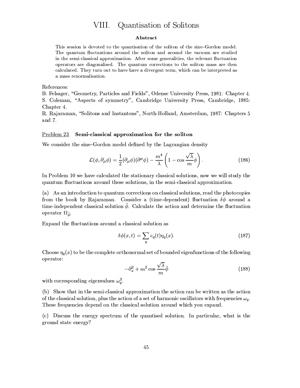#### Quantisation of Solitons VIII.

### Abstract

This session is devoted to the quantisation of the soliton of the sine-Gordon model. The quantum fluctuations around the soliton and around the vacuum are studied in the semi-classical approximation. After some generalities, the relevant fluctuation operators are diagonalised. The quantum corrections to the soliton mass are then calculated. They turn out to have have a divergent term, which can be interpreted as a mass renormalisation.

References:

B. Felsager, "Geometry, Particles and Fields", Odense University Press, 1981: Chapter 4. S. Coleman, "Aspects of symmetry", Cambridge University Press, Cambridge, 1985: Chapter 4.

R. Rajaraman, "Solitons and Instantons", North-Holland, Amsterdam, 1987: Chapters 5 and  $7$ .

#### $Problem 23$ Semi-classical approximation for the soliton

We consider the sine-Gordon model defined by the Lagrangian density

$$
\mathcal{L}(\phi, \partial_{\mu}\phi) = \frac{1}{2}(\partial_{\mu}\phi)(\partial^{\mu}\phi) - \frac{m^4}{\lambda}\left(1 - \cos\frac{\sqrt{\lambda}}{m}\phi\right).
$$
 (186)

In Problem 10 we have calculated the stationary classical solutions, now we will study the quantum fluctuations around these solutions, in the semi-classical approximation.

(a) As an introduction to quantum corrections on classical solutions, read the photocopies from the book by Rajaraman. Consider a (time-dependent) fluctuation  $\delta\phi$  around a time-independent classical solution  $\bar{\phi}$ . Calculate the action and determine the fluctuation operator  $\Omega_{\bar{\phi}}$ .

Expand the fluctuations around a classical solution as

$$
\delta\phi(x,t) = \sum_{q} c_q(t)\eta_q(x). \tag{187}
$$

Choose  $\eta_q(x)$  to be the complete orthonormal set of bounded eigenfunctions of the following operator:

$$
-\partial_x^2 + m^2 \cos \frac{\sqrt{\lambda}}{m} \bar{\phi}
$$
 (188)

with corresponding eigenvalues  $\omega_q^2$ .

(b) Show that in the semi-classical approximation the action can be written as the action of the classical solution, plus the action of a set of harmonic oscillators with frequencies  $\omega_q$ . These frequencies depend on the classical solution around which you expand.

(c) Discuss the energy spectrum of the quantised solution. In particular, what is the ground state energy?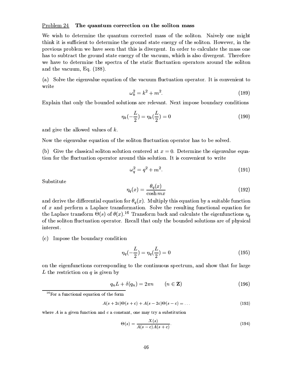#### $Problem 24$ The quantum correction on the soliton mass

We wish to determine the quantum corrected mass of the soliton. Naively one might think it is sufficient to determine the ground state energy of the soliton. However, in the previous problem we have seen that this is divergent. In order to calculate the mass one has to subtract the ground state energy of the vacuum, which is also divergent. Therefore we have to determine the spectra of the static fluctuation operators around the soliton and the vacuum, Eq.  $(188)$ .

(a) Solve the eigenvalue equation of the vacuum fluctuation operator. It is convenient to write

$$
\omega_k^2 = k^2 + m^2. \tag{189}
$$

Explain that only the bounded solutions are relevant. Next impose boundary conditions

$$
\eta_k(-\frac{L}{2}) = \eta_k(\frac{L}{2}) = 0 \tag{190}
$$

and give the allowed values of  $k$ .

Now the eigenvalue equation of the soliton fluctuation operator has to be solved.

(b) Give the classical soliton solution centered at  $x = 0$ . Determine the eigenvalue equation for the fluctuation operator around this solution. It is convenient to write

$$
\omega_q^2 = q^2 + m^2. \tag{191}
$$

Substitute

$$
\eta_q(x) = \frac{\theta_q(x)}{\cosh mx} \tag{192}
$$

and derive the differential equation for  $\theta_q(x)$ . Multiply this equation by a suitable function of  $x$  and perform a Laplace transformation. Solve the resulting functional equation for the Laplace transform  $\Theta(s)$  of  $\theta(x)$ .<sup>16</sup> Transform back and calculate the eigenfunctions  $\eta_q$ of the soliton fluctuation operator. Recall that only the bounded solutions are of physical interest.

(c) Impose the boundary condition

$$
\eta_q(-\frac{L}{2}) = \eta_q(\frac{L}{2}) = 0 \tag{195}
$$

on the eigenfunctions corresponding to the continuous spectrum, and show that for large  $L$  the restriction on  $q$  is given by

$$
q_n L + \delta(q_n) = 2\pi n \qquad (n \in \mathbf{Z}) \tag{196}
$$

$$
A(s+2c)\Theta(s+c) + A(s-2c)\Theta(s-c) = \dots \tag{193}
$$

where  $A$  is a given function and  $c$  a constant, one may try a substitution

$$
\Theta(s) = \frac{X(s)}{A(s-c)A(s+c)}.\tag{194}
$$

<sup>&</sup>lt;sup>16</sup>For a functional equation of the form